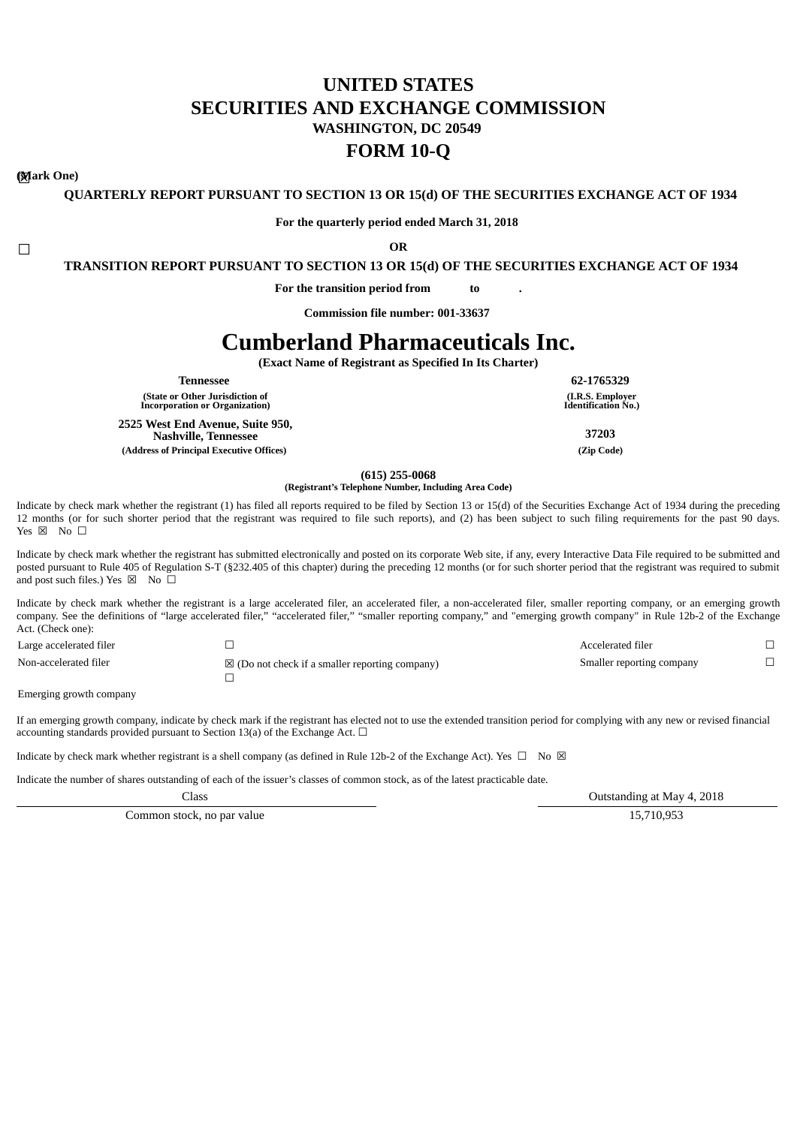# **UNITED STATES SECURITIES AND EXCHANGE COMMISSION WASHINGTON, DC 20549 FORM 10-Q**

#### **(**☒**Mark One)**

**QUARTERLY REPORT PURSUANT TO SECTION 13 OR 15(d) OF THE SECURITIES EXCHANGE ACT OF 1934**

**For the quarterly period ended March 31, 2018**

☐ **OR**

**TRANSITION REPORT PURSUANT TO SECTION 13 OR 15(d) OF THE SECURITIES EXCHANGE ACT OF 1934**

**For the transition period from to .**

**Commission file number: 001-33637**

# **Cumberland Pharmaceuticals Inc.**

**(Exact Name of Registrant as Specified In Its Charter)**

**(State or Other Jurisdiction of Incorporation or Organization)**

**2525 West End Avenue, Suite 950, Nashville, Tennessee 37203 (Address of Principal Executive Offices) (Zip Code)**

**Tennessee 62-1765329 (I.R.S. Employer Identification No.)**

**(615) 255-0068**

**(Registrant's Telephone Number, Including Area Code)**

Indicate by check mark whether the registrant (1) has filed all reports required to be filed by Section 13 or 15(d) of the Securities Exchange Act of 1934 during the preceding 12 months (or for such shorter period that the registrant was required to file such reports), and (2) has been subject to such filing requirements for the past 90 days. Yes ⊠ No □

Indicate by check mark whether the registrant has submitted electronically and posted on its corporate Web site, if any, every Interactive Data File required to be submitted and posted pursuant to Rule 405 of Regulation S-T (§232.405 of this chapter) during the preceding 12 months (or for such shorter period that the registrant was required to submit and post such files.) Yes  $\boxtimes$  No  $\Box$ 

Indicate by check mark whether the registrant is a large accelerated filer, an accelerated filer, a non-accelerated filer, smaller reporting company, or an emerging growth company. See the definitions of "large accelerated filer," "accelerated filer," "smaller reporting company," and "emerging growth company" in Rule 12b-2 of the Exchange Act. (Check one):

| Large accelerated filer |                                                           | Accelerated filer         |  |
|-------------------------|-----------------------------------------------------------|---------------------------|--|
| Non-accelerated filer   | $\boxtimes$ (Do not check if a smaller reporting company) | Smaller reporting company |  |
|                         |                                                           |                           |  |

Emerging growth company

If an emerging growth company, indicate by check mark if the registrant has elected not to use the extended transition period for complying with any new or revised financial accounting standards provided pursuant to Section 13(a) of the Exchange Act.  $\Box$ 

Indicate by check mark whether registrant is a shell company (as defined in Rule 12b-2 of the Exchange Act). Yes  $\Box$  No  $\boxtimes$ 

Indicate the number of shares outstanding of each of the issuer's classes of common stock, as of the latest practicable date.

Common stock, no par value 15,710,953

Class Outstanding at May 4, 2018

- 
-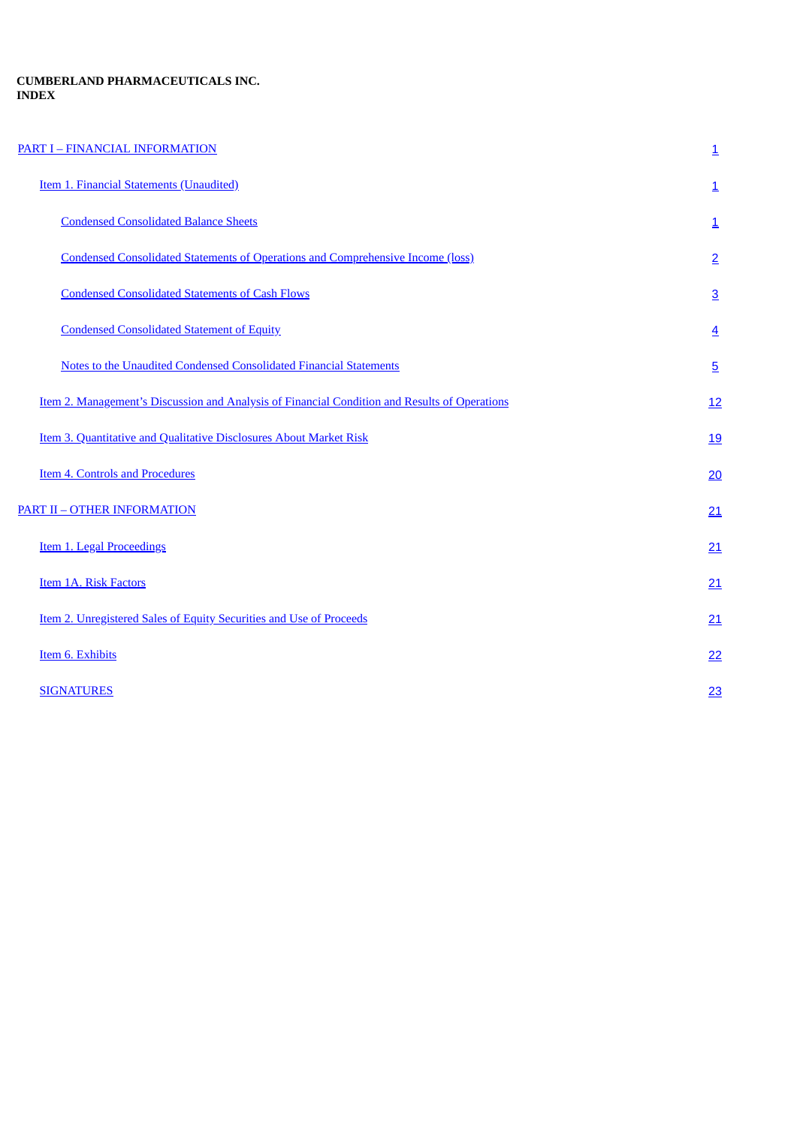# **CUMBERLAND PHARMACEUTICALS INC. INDEX**

<span id="page-1-0"></span>

| <b>PART I - FINANCIAL INFORMATION</b>                                                         | $\underline{\textbf{1}}$ |
|-----------------------------------------------------------------------------------------------|--------------------------|
| <b>Item 1. Financial Statements (Unaudited)</b>                                               | $\overline{\mathbf{1}}$  |
| <b>Condensed Consolidated Balance Sheets</b>                                                  | $\overline{1}$           |
| <b>Condensed Consolidated Statements of Operations and Comprehensive Income (loss)</b>        | $\overline{2}$           |
| <b>Condensed Consolidated Statements of Cash Flows</b>                                        | $\overline{3}$           |
| <b>Condensed Consolidated Statement of Equity</b>                                             | $\overline{4}$           |
| <b>Notes to the Unaudited Condensed Consolidated Financial Statements</b>                     | $\overline{5}$           |
| Item 2. Management's Discussion and Analysis of Financial Condition and Results of Operations | 12                       |
| <b>Item 3. Quantitative and Qualitative Disclosures About Market Risk</b>                     | <u>19</u>                |
| <b>Item 4. Controls and Procedures</b>                                                        | 20                       |
| <b>PART II - OTHER INFORMATION</b>                                                            | 21                       |
| <b>Item 1. Legal Proceedings</b>                                                              | 21                       |
| <b>Item 1A. Risk Factors</b>                                                                  | 21                       |
| Item 2. Unregistered Sales of Equity Securities and Use of Proceeds                           | 21                       |
| Item 6. Exhibits                                                                              | 22                       |
| <b>SIGNATURES</b>                                                                             | 23                       |
|                                                                                               |                          |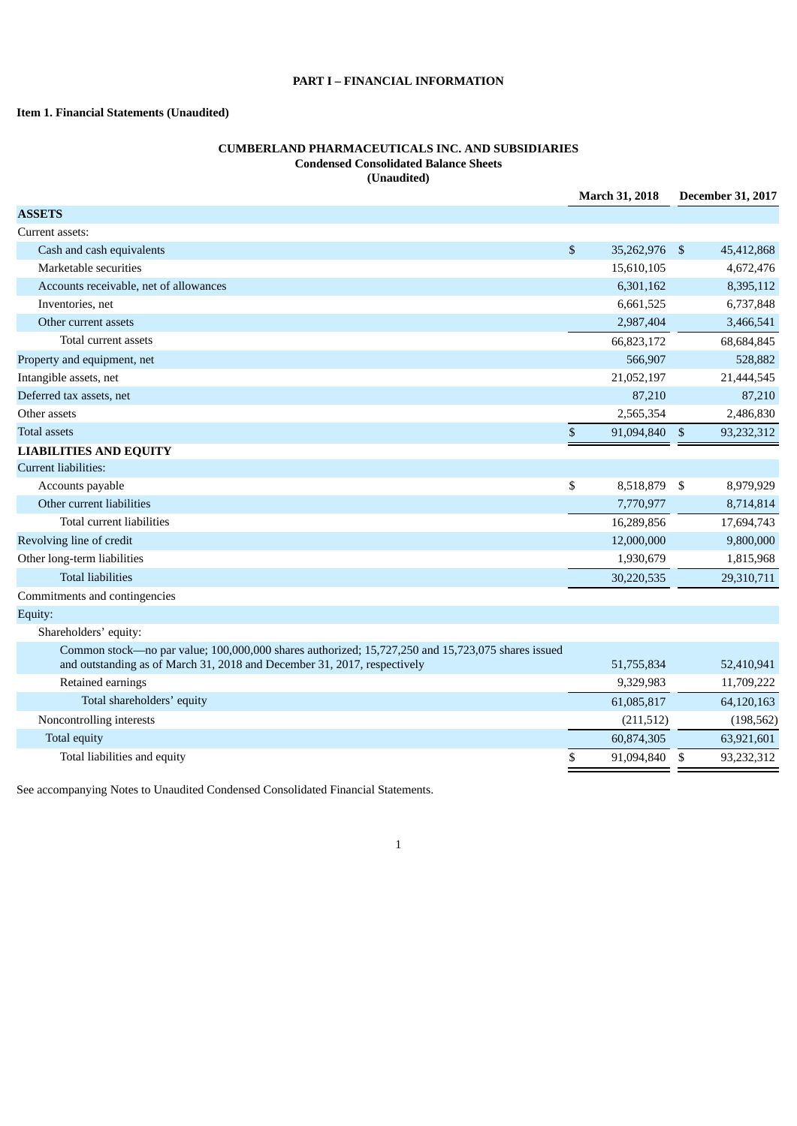# **PART I – FINANCIAL INFORMATION**

# <span id="page-2-1"></span><span id="page-2-0"></span>**Item 1. Financial Statements (Unaudited)**

# **CUMBERLAND PHARMACEUTICALS INC. AND SUBSIDIARIES Condensed Consolidated Balance Sheets (Unaudited)**

|                                                                                                   |      | March 31, 2018 |                | <b>December 31, 2017</b> |
|---------------------------------------------------------------------------------------------------|------|----------------|----------------|--------------------------|
| <b>ASSETS</b>                                                                                     |      |                |                |                          |
| Current assets:                                                                                   |      |                |                |                          |
| Cash and cash equivalents                                                                         | $\$$ | 35,262,976     | - \$           | 45,412,868               |
| Marketable securities                                                                             |      | 15,610,105     |                | 4,672,476                |
| Accounts receivable, net of allowances                                                            |      | 6,301,162      |                | 8,395,112                |
| Inventories, net                                                                                  |      | 6,661,525      |                | 6,737,848                |
| Other current assets                                                                              |      | 2,987,404      |                | 3,466,541                |
| Total current assets                                                                              |      | 66,823,172     |                | 68,684,845               |
| Property and equipment, net                                                                       |      | 566,907        |                | 528,882                  |
| Intangible assets, net                                                                            |      | 21,052,197     |                | 21,444,545               |
| Deferred tax assets, net                                                                          |      | 87,210         |                | 87,210                   |
| Other assets                                                                                      |      | 2,565,354      |                | 2,486,830                |
| <b>Total assets</b>                                                                               | \$   | 91,094,840     | $\mathfrak{S}$ | 93,232,312               |
| <b>LIABILITIES AND EQUITY</b>                                                                     |      |                |                |                          |
| <b>Current liabilities:</b>                                                                       |      |                |                |                          |
| Accounts payable                                                                                  | \$   | 8,518,879      | -\$            | 8,979,929                |
| Other current liabilities                                                                         |      | 7,770,977      |                | 8,714,814                |
| Total current liabilities                                                                         |      | 16,289,856     |                | 17,694,743               |
| Revolving line of credit                                                                          |      | 12,000,000     |                | 9,800,000                |
| Other long-term liabilities                                                                       |      | 1,930,679      |                | 1,815,968                |
| <b>Total liabilities</b>                                                                          |      | 30,220,535     |                | 29,310,711               |
| Commitments and contingencies                                                                     |      |                |                |                          |
| Equity:                                                                                           |      |                |                |                          |
| Shareholders' equity:                                                                             |      |                |                |                          |
| Common stock—no par value; 100,000,000 shares authorized; 15,727,250 and 15,723,075 shares issued |      |                |                |                          |
| and outstanding as of March 31, 2018 and December 31, 2017, respectively                          |      | 51,755,834     |                | 52,410,941               |
| Retained earnings                                                                                 |      | 9,329,983      |                | 11,709,222               |
| Total shareholders' equity                                                                        |      | 61,085,817     |                | 64,120,163               |
| Noncontrolling interests                                                                          |      | (211, 512)     |                | (198, 562)               |
| <b>Total equity</b>                                                                               |      | 60,874,305     |                | 63,921,601               |
| Total liabilities and equity                                                                      | \$   | 91,094,840     | \$             | 93,232,312               |

<span id="page-2-2"></span>See accompanying Notes to Unaudited Condensed Consolidated Financial Statements.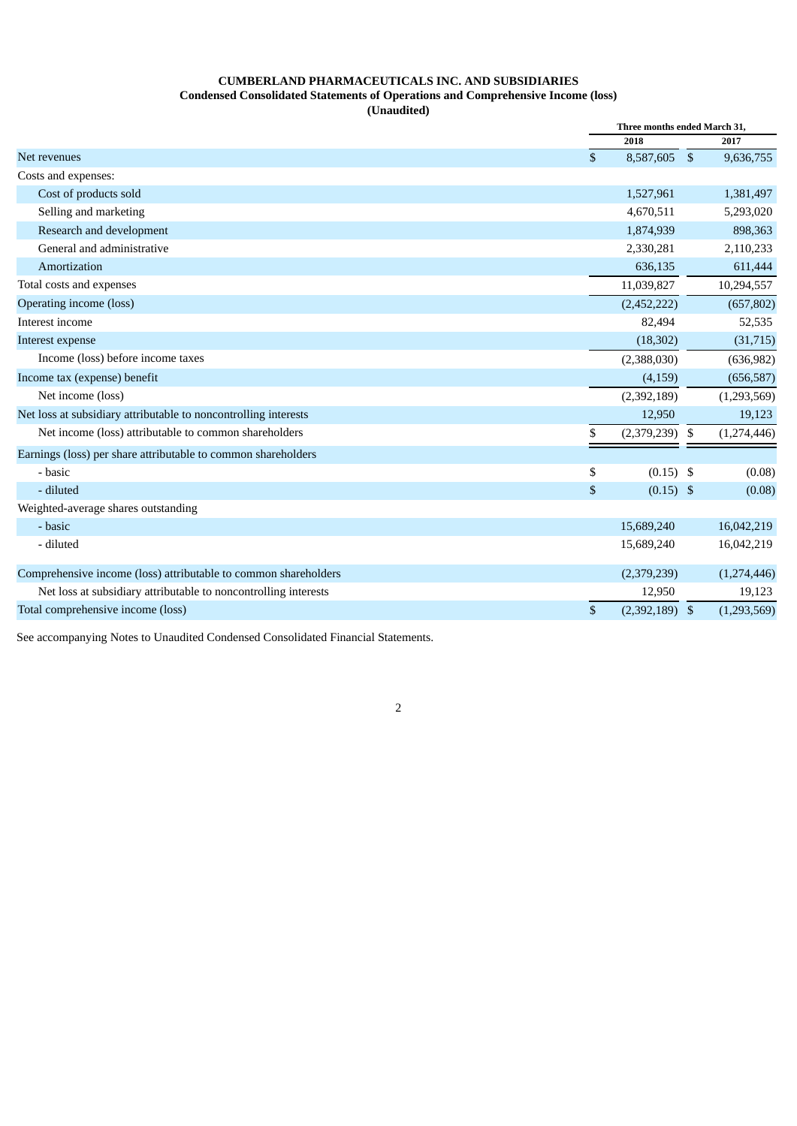# **CUMBERLAND PHARMACEUTICALS INC. AND SUBSIDIARIES Condensed Consolidated Statements of Operations and Comprehensive Income (loss) (Unaudited)**

|                                                                 |              | Three months ended March 31,    |             |  |
|-----------------------------------------------------------------|--------------|---------------------------------|-------------|--|
|                                                                 | 2018         |                                 | 2017        |  |
| Net revenues                                                    | $\mathbb{S}$ | 8,587,605<br>$\mathbf{\hat{S}}$ | 9,636,755   |  |
| Costs and expenses:                                             |              |                                 |             |  |
| Cost of products sold                                           |              | 1,527,961                       | 1,381,497   |  |
| Selling and marketing                                           |              | 4,670,511                       | 5,293,020   |  |
| Research and development                                        |              | 1,874,939                       | 898,363     |  |
| General and administrative                                      |              | 2,330,281                       | 2,110,233   |  |
| Amortization                                                    |              | 636,135                         | 611,444     |  |
| Total costs and expenses                                        |              | 11,039,827                      | 10,294,557  |  |
| Operating income (loss)                                         |              | (2,452,222)                     | (657, 802)  |  |
| Interest income                                                 |              | 82,494                          | 52,535      |  |
| Interest expense                                                |              | (18, 302)                       | (31,715)    |  |
| Income (loss) before income taxes                               |              | (2,388,030)                     | (636, 982)  |  |
| Income tax (expense) benefit                                    |              | (4,159)                         | (656, 587)  |  |
| Net income (loss)                                               |              | (2,392,189)                     | (1,293,569) |  |
| Net loss at subsidiary attributable to noncontrolling interests |              | 12,950                          | 19,123      |  |
| Net income (loss) attributable to common shareholders           |              | (2,379,239)<br>-\$              | (1,274,446) |  |
| Earnings (loss) per share attributable to common shareholders   |              |                                 |             |  |
| - basic                                                         | \$           | $(0.15)$ \$                     | (0.08)      |  |
| - diluted                                                       | \$           | $(0.15)$ \$                     | (0.08)      |  |
| Weighted-average shares outstanding                             |              |                                 |             |  |
| - basic                                                         |              | 15,689,240                      | 16,042,219  |  |
| - diluted                                                       |              | 15,689,240                      | 16,042,219  |  |
| Comprehensive income (loss) attributable to common shareholders |              | (2,379,239)                     | (1,274,446) |  |
| Net loss at subsidiary attributable to noncontrolling interests |              | 12,950                          | 19,123      |  |
| Total comprehensive income (loss)                               | $\$$         | $(2,392,189)$ \$                | (1,293,569) |  |

<span id="page-3-0"></span>See accompanying Notes to Unaudited Condensed Consolidated Financial Statements.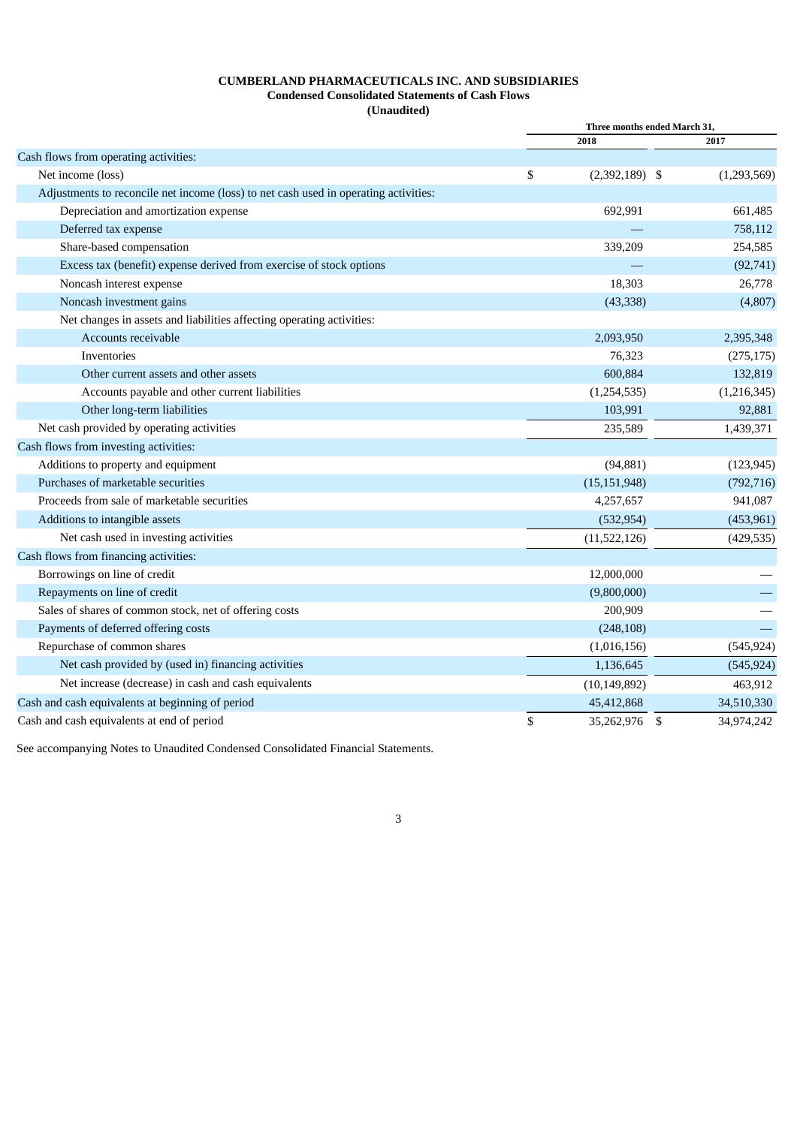# **CUMBERLAND PHARMACEUTICALS INC. AND SUBSIDIARIES Condensed Consolidated Statements of Cash Flows (Unaudited)**

|                                                                                      | Three months ended March 31, |      |             |  |
|--------------------------------------------------------------------------------------|------------------------------|------|-------------|--|
|                                                                                      | 2018                         |      | 2017        |  |
| Cash flows from operating activities:                                                |                              |      |             |  |
| Net income (loss)                                                                    | \$<br>$(2,392,189)$ \$       |      | (1,293,569) |  |
| Adjustments to reconcile net income (loss) to net cash used in operating activities: |                              |      |             |  |
| Depreciation and amortization expense                                                | 692,991                      |      | 661,485     |  |
| Deferred tax expense                                                                 |                              |      | 758,112     |  |
| Share-based compensation                                                             | 339,209                      |      | 254,585     |  |
| Excess tax (benefit) expense derived from exercise of stock options                  |                              |      | (92, 741)   |  |
| Noncash interest expense                                                             | 18,303                       |      | 26,778      |  |
| Noncash investment gains                                                             | (43, 338)                    |      | (4,807)     |  |
| Net changes in assets and liabilities affecting operating activities:                |                              |      |             |  |
| Accounts receivable                                                                  | 2,093,950                    |      | 2,395,348   |  |
| Inventories                                                                          | 76,323                       |      | (275, 175)  |  |
| Other current assets and other assets                                                | 600,884                      |      | 132,819     |  |
| Accounts payable and other current liabilities                                       | (1,254,535)                  |      | (1,216,345) |  |
| Other long-term liabilities                                                          | 103,991                      |      | 92,881      |  |
| Net cash provided by operating activities                                            | 235,589                      |      | 1,439,371   |  |
| Cash flows from investing activities:                                                |                              |      |             |  |
| Additions to property and equipment                                                  | (94, 881)                    |      | (123, 945)  |  |
| Purchases of marketable securities                                                   | (15, 151, 948)               |      | (792, 716)  |  |
| Proceeds from sale of marketable securities                                          | 4,257,657                    |      | 941,087     |  |
| Additions to intangible assets                                                       | (532, 954)                   |      | (453, 961)  |  |
| Net cash used in investing activities                                                | (11,522,126)                 |      | (429, 535)  |  |
| Cash flows from financing activities:                                                |                              |      |             |  |
| Borrowings on line of credit                                                         | 12,000,000                   |      |             |  |
| Repayments on line of credit                                                         | (9,800,000)                  |      |             |  |
| Sales of shares of common stock, net of offering costs                               | 200,909                      |      |             |  |
| Payments of deferred offering costs                                                  | (248, 108)                   |      |             |  |
| Repurchase of common shares                                                          | (1,016,156)                  |      | (545, 924)  |  |
| Net cash provided by (used in) financing activities                                  | 1,136,645                    |      | (545, 924)  |  |
| Net increase (decrease) in cash and cash equivalents                                 | (10, 149, 892)               |      | 463,912     |  |
| Cash and cash equivalents at beginning of period                                     | 45,412,868                   |      | 34,510,330  |  |
| Cash and cash equivalents at end of period                                           | \$<br>35,262,976             | - \$ | 34,974,242  |  |

<span id="page-4-0"></span>See accompanying Notes to Unaudited Condensed Consolidated Financial Statements.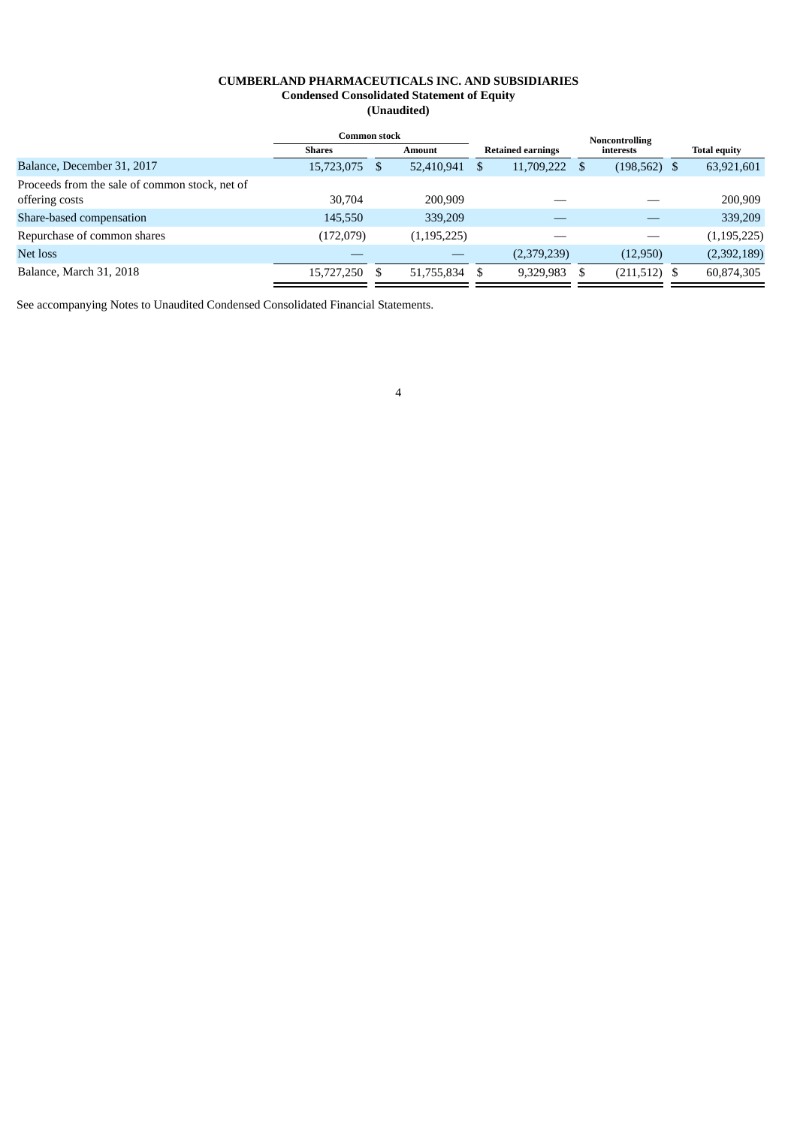# **CUMBERLAND PHARMACEUTICALS INC. AND SUBSIDIARIES Condensed Consolidated Statement of Equity (Unaudited)**

|                                                                  | <b>Common stock</b> |        |               |                          |             |           | Noncontrolling  |  |                     |  |
|------------------------------------------------------------------|---------------------|--------|---------------|--------------------------|-------------|-----------|-----------------|--|---------------------|--|
|                                                                  | <b>Shares</b>       | Amount |               | <b>Retained earnings</b> |             | interests |                 |  | <b>Total equity</b> |  |
| Balance, December 31, 2017                                       | 15,723,075          |        | 52,410,941    |                          | 11,709,222  | S         | $(198, 562)$ \$ |  | 63,921,601          |  |
| Proceeds from the sale of common stock, net of<br>offering costs | 30,704              |        | 200,909       |                          |             |           |                 |  | 200,909             |  |
| Share-based compensation                                         | 145,550             |        | 339,209       |                          |             |           |                 |  | 339,209             |  |
| Repurchase of common shares                                      | (172,079)           |        | (1, 195, 225) |                          |             |           |                 |  | (1, 195, 225)       |  |
| Net loss                                                         |                     |        |               |                          | (2,379,239) |           | (12,950)        |  | (2,392,189)         |  |
| Balance, March 31, 2018                                          | 15,727,250          |        | 51,755,834    | \$                       | 9,329,983   |           | $(211,512)$ \$  |  | 60,874,305          |  |

4

<span id="page-5-0"></span>See accompanying Notes to Unaudited Condensed Consolidated Financial Statements.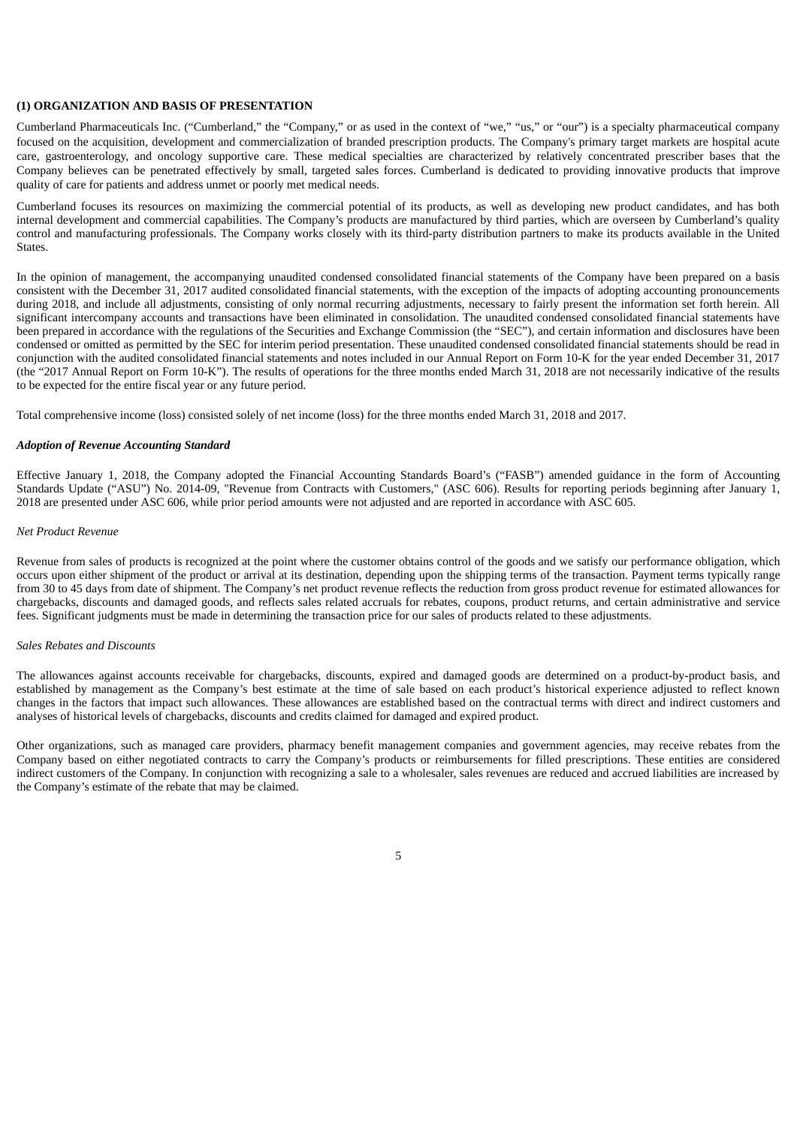# **(1) ORGANIZATION AND BASIS OF PRESENTATION**

Cumberland Pharmaceuticals Inc. ("Cumberland," the "Company," or as used in the context of "we," "us," or "our") is a specialty pharmaceutical company focused on the acquisition, development and commercialization of branded prescription products. The Company's primary target markets are hospital acute care, gastroenterology, and oncology supportive care. These medical specialties are characterized by relatively concentrated prescriber bases that the Company believes can be penetrated effectively by small, targeted sales forces. Cumberland is dedicated to providing innovative products that improve quality of care for patients and address unmet or poorly met medical needs.

Cumberland focuses its resources on maximizing the commercial potential of its products, as well as developing new product candidates, and has both internal development and commercial capabilities. The Company's products are manufactured by third parties, which are overseen by Cumberland's quality control and manufacturing professionals. The Company works closely with its third-party distribution partners to make its products available in the United States.

In the opinion of management, the accompanying unaudited condensed consolidated financial statements of the Company have been prepared on a basis consistent with the December 31, 2017 audited consolidated financial statements, with the exception of the impacts of adopting accounting pronouncements during 2018, and include all adjustments, consisting of only normal recurring adjustments, necessary to fairly present the information set forth herein. All significant intercompany accounts and transactions have been eliminated in consolidation. The unaudited condensed consolidated financial statements have been prepared in accordance with the regulations of the Securities and Exchange Commission (the "SEC"), and certain information and disclosures have been condensed or omitted as permitted by the SEC for interim period presentation. These unaudited condensed consolidated financial statements should be read in conjunction with the audited consolidated financial statements and notes included in our Annual Report on Form 10-K for the year ended December 31, 2017 (the "2017 Annual Report on Form 10-K"). The results of operations for the three months ended March 31, 2018 are not necessarily indicative of the results to be expected for the entire fiscal year or any future period.

Total comprehensive income (loss) consisted solely of net income (loss) for the three months ended March 31, 2018 and 2017.

#### *Adoption of Revenue Accounting Standard*

Effective January 1, 2018, the Company adopted the Financial Accounting Standards Board's ("FASB") amended guidance in the form of Accounting Standards Update ("ASU") No. 2014-09, "Revenue from Contracts with Customers," (ASC 606). Results for reporting periods beginning after January 1, 2018 are presented under ASC 606, while prior period amounts were not adjusted and are reported in accordance with ASC 605.

#### *Net Product Revenue*

Revenue from sales of products is recognized at the point where the customer obtains control of the goods and we satisfy our performance obligation, which occurs upon either shipment of the product or arrival at its destination, depending upon the shipping terms of the transaction. Payment terms typically range from 30 to 45 days from date of shipment. The Company's net product revenue reflects the reduction from gross product revenue for estimated allowances for chargebacks, discounts and damaged goods, and reflects sales related accruals for rebates, coupons, product returns, and certain administrative and service fees. Significant judgments must be made in determining the transaction price for our sales of products related to these adjustments.

#### *Sales Rebates and Discounts*

The allowances against accounts receivable for chargebacks, discounts, expired and damaged goods are determined on a product-by-product basis, and established by management as the Company's best estimate at the time of sale based on each product's historical experience adjusted to reflect known changes in the factors that impact such allowances. These allowances are established based on the contractual terms with direct and indirect customers and analyses of historical levels of chargebacks, discounts and credits claimed for damaged and expired product.

Other organizations, such as managed care providers, pharmacy benefit management companies and government agencies, may receive rebates from the Company based on either negotiated contracts to carry the Company's products or reimbursements for filled prescriptions. These entities are considered indirect customers of the Company. In conjunction with recognizing a sale to a wholesaler, sales revenues are reduced and accrued liabilities are increased by the Company's estimate of the rebate that may be claimed.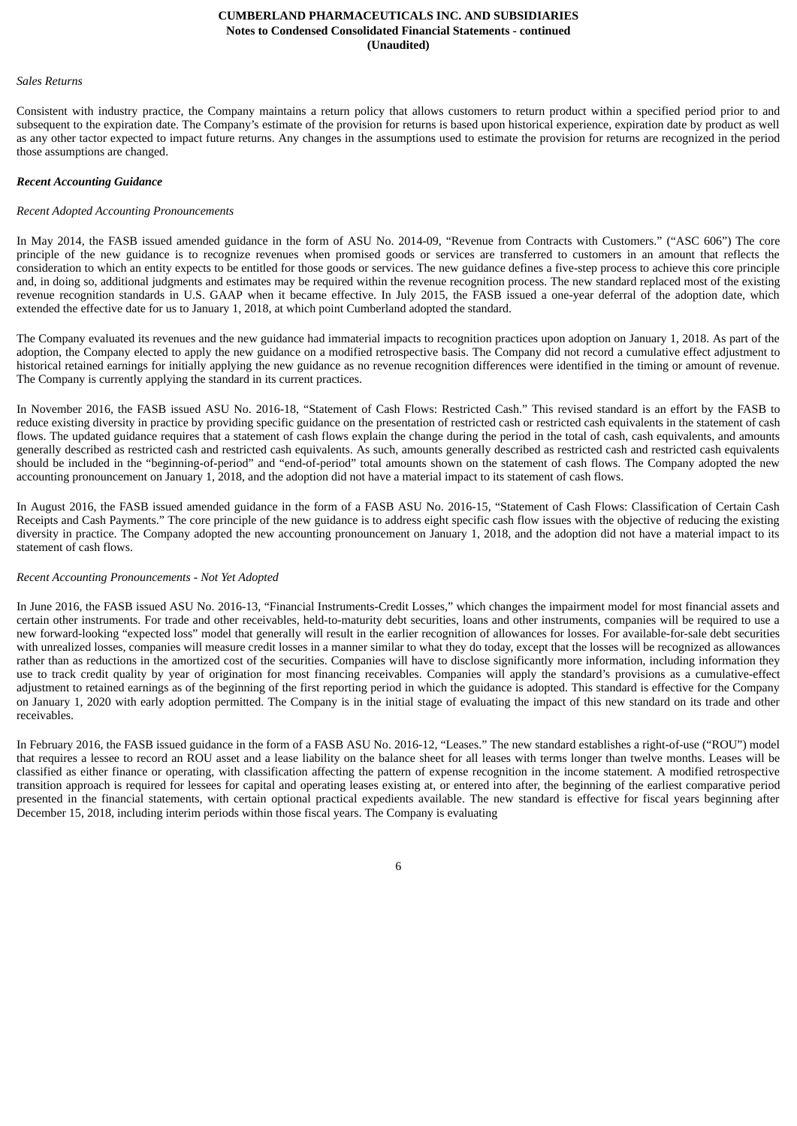#### *Sales Returns*

Consistent with industry practice, the Company maintains a return policy that allows customers to return product within a specified period prior to and subsequent to the expiration date. The Company's estimate of the provision for returns is based upon historical experience, expiration date by product as well as any other tactor expected to impact future returns. Any changes in the assumptions used to estimate the provision for returns are recognized in the period those assumptions are changed.

#### *Recent Accounting Guidance*

#### *Recent Adopted Accounting Pronouncements*

In May 2014, the FASB issued amended guidance in the form of ASU No. 2014-09, "Revenue from Contracts with Customers." ("ASC 606") The core principle of the new guidance is to recognize revenues when promised goods or services are transferred to customers in an amount that reflects the consideration to which an entity expects to be entitled for those goods or services. The new guidance defines a five-step process to achieve this core principle and, in doing so, additional judgments and estimates may be required within the revenue recognition process. The new standard replaced most of the existing revenue recognition standards in U.S. GAAP when it became effective. In July 2015, the FASB issued a one-year deferral of the adoption date, which extended the effective date for us to January 1, 2018, at which point Cumberland adopted the standard.

The Company evaluated its revenues and the new guidance had immaterial impacts to recognition practices upon adoption on January 1, 2018. As part of the adoption, the Company elected to apply the new guidance on a modified retrospective basis. The Company did not record a cumulative effect adjustment to historical retained earnings for initially applying the new guidance as no revenue recognition differences were identified in the timing or amount of revenue. The Company is currently applying the standard in its current practices.

In November 2016, the FASB issued ASU No. 2016-18, "Statement of Cash Flows: Restricted Cash." This revised standard is an effort by the FASB to reduce existing diversity in practice by providing specific guidance on the presentation of restricted cash or restricted cash equivalents in the statement of cash flows. The updated guidance requires that a statement of cash flows explain the change during the period in the total of cash, cash equivalents, and amounts generally described as restricted cash and restricted cash equivalents. As such, amounts generally described as restricted cash and restricted cash equivalents should be included in the "beginning-of-period" and "end-of-period" total amounts shown on the statement of cash flows. The Company adopted the new accounting pronouncement on January 1, 2018, and the adoption did not have a material impact to its statement of cash flows.

In August 2016, the FASB issued amended guidance in the form of a FASB ASU No. 2016-15, "Statement of Cash Flows: Classification of Certain Cash Receipts and Cash Payments." The core principle of the new guidance is to address eight specific cash flow issues with the objective of reducing the existing diversity in practice. The Company adopted the new accounting pronouncement on January 1, 2018, and the adoption did not have a material impact to its statement of cash flows.

#### *Recent Accounting Pronouncements - Not Yet Adopted*

In June 2016, the FASB issued ASU No. 2016-13, "Financial Instruments-Credit Losses," which changes the impairment model for most financial assets and certain other instruments. For trade and other receivables, held-to-maturity debt securities, loans and other instruments, companies will be required to use a new forward-looking "expected loss" model that generally will result in the earlier recognition of allowances for losses. For available-for-sale debt securities with unrealized losses, companies will measure credit losses in a manner similar to what they do today, except that the losses will be recognized as allowances rather than as reductions in the amortized cost of the securities. Companies will have to disclose significantly more information, including information they use to track credit quality by year of origination for most financing receivables. Companies will apply the standard's provisions as a cumulative-effect adjustment to retained earnings as of the beginning of the first reporting period in which the guidance is adopted. This standard is effective for the Company on January 1, 2020 with early adoption permitted. The Company is in the initial stage of evaluating the impact of this new standard on its trade and other receivables.

In February 2016, the FASB issued guidance in the form of a FASB ASU No. 2016-12, "Leases." The new standard establishes a right-of-use ("ROU") model that requires a lessee to record an ROU asset and a lease liability on the balance sheet for all leases with terms longer than twelve months. Leases will be classified as either finance or operating, with classification affecting the pattern of expense recognition in the income statement. A modified retrospective transition approach is required for lessees for capital and operating leases existing at, or entered into after, the beginning of the earliest comparative period presented in the financial statements, with certain optional practical expedients available. The new standard is effective for fiscal years beginning after December 15, 2018, including interim periods within those fiscal years. The Company is evaluating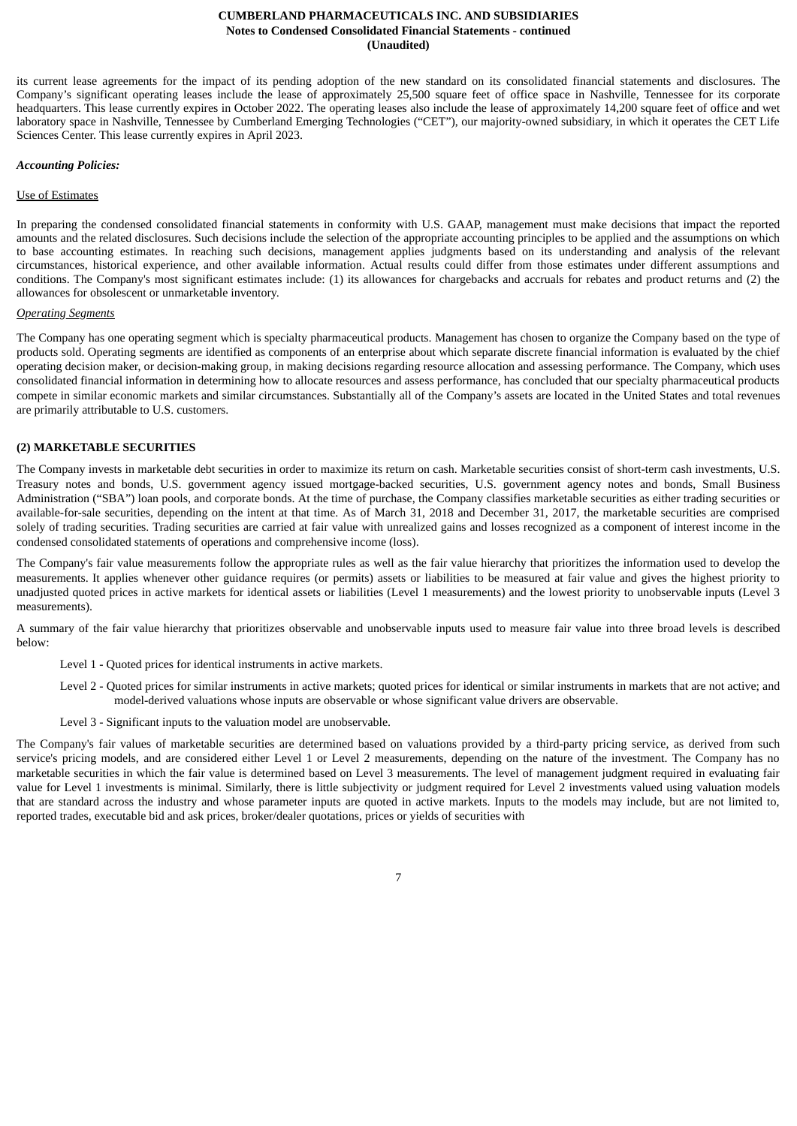its current lease agreements for the impact of its pending adoption of the new standard on its consolidated financial statements and disclosures. The Company's significant operating leases include the lease of approximately 25,500 square feet of office space in Nashville, Tennessee for its corporate headquarters. This lease currently expires in October 2022. The operating leases also include the lease of approximately 14,200 square feet of office and wet laboratory space in Nashville, Tennessee by Cumberland Emerging Technologies ("CET"), our majority-owned subsidiary, in which it operates the CET Life Sciences Center. This lease currently expires in April 2023.

#### *Accounting Policies:*

# Use of Estimates

In preparing the condensed consolidated financial statements in conformity with U.S. GAAP, management must make decisions that impact the reported amounts and the related disclosures. Such decisions include the selection of the appropriate accounting principles to be applied and the assumptions on which to base accounting estimates. In reaching such decisions, management applies judgments based on its understanding and analysis of the relevant circumstances, historical experience, and other available information. Actual results could differ from those estimates under different assumptions and conditions. The Company's most significant estimates include: (1) its allowances for chargebacks and accruals for rebates and product returns and (2) the allowances for obsolescent or unmarketable inventory.

#### *Operating Segments*

The Company has one operating segment which is specialty pharmaceutical products. Management has chosen to organize the Company based on the type of products sold. Operating segments are identified as components of an enterprise about which separate discrete financial information is evaluated by the chief operating decision maker, or decision-making group, in making decisions regarding resource allocation and assessing performance. The Company, which uses consolidated financial information in determining how to allocate resources and assess performance, has concluded that our specialty pharmaceutical products compete in similar economic markets and similar circumstances. Substantially all of the Company's assets are located in the United States and total revenues are primarily attributable to U.S. customers.

# **(2) MARKETABLE SECURITIES**

The Company invests in marketable debt securities in order to maximize its return on cash. Marketable securities consist of short-term cash investments, U.S. Treasury notes and bonds, U.S. government agency issued mortgage-backed securities, U.S. government agency notes and bonds, Small Business Administration ("SBA") loan pools, and corporate bonds. At the time of purchase, the Company classifies marketable securities as either trading securities or available-for-sale securities, depending on the intent at that time. As of March 31, 2018 and December 31, 2017, the marketable securities are comprised solely of trading securities. Trading securities are carried at fair value with unrealized gains and losses recognized as a component of interest income in the condensed consolidated statements of operations and comprehensive income (loss).

The Company's fair value measurements follow the appropriate rules as well as the fair value hierarchy that prioritizes the information used to develop the measurements. It applies whenever other guidance requires (or permits) assets or liabilities to be measured at fair value and gives the highest priority to unadjusted quoted prices in active markets for identical assets or liabilities (Level 1 measurements) and the lowest priority to unobservable inputs (Level 3 measurements).

A summary of the fair value hierarchy that prioritizes observable and unobservable inputs used to measure fair value into three broad levels is described below:

- Level 1 Quoted prices for identical instruments in active markets.
- Level 2 Quoted prices for similar instruments in active markets; quoted prices for identical or similar instruments in markets that are not active; and model-derived valuations whose inputs are observable or whose significant value drivers are observable.
- Level 3 Significant inputs to the valuation model are unobservable.

The Company's fair values of marketable securities are determined based on valuations provided by a third-party pricing service, as derived from such service's pricing models, and are considered either Level 1 or Level 2 measurements, depending on the nature of the investment. The Company has no marketable securities in which the fair value is determined based on Level 3 measurements. The level of management judgment required in evaluating fair value for Level 1 investments is minimal. Similarly, there is little subjectivity or judgment required for Level 2 investments valued using valuation models that are standard across the industry and whose parameter inputs are quoted in active markets. Inputs to the models may include, but are not limited to, reported trades, executable bid and ask prices, broker/dealer quotations, prices or yields of securities with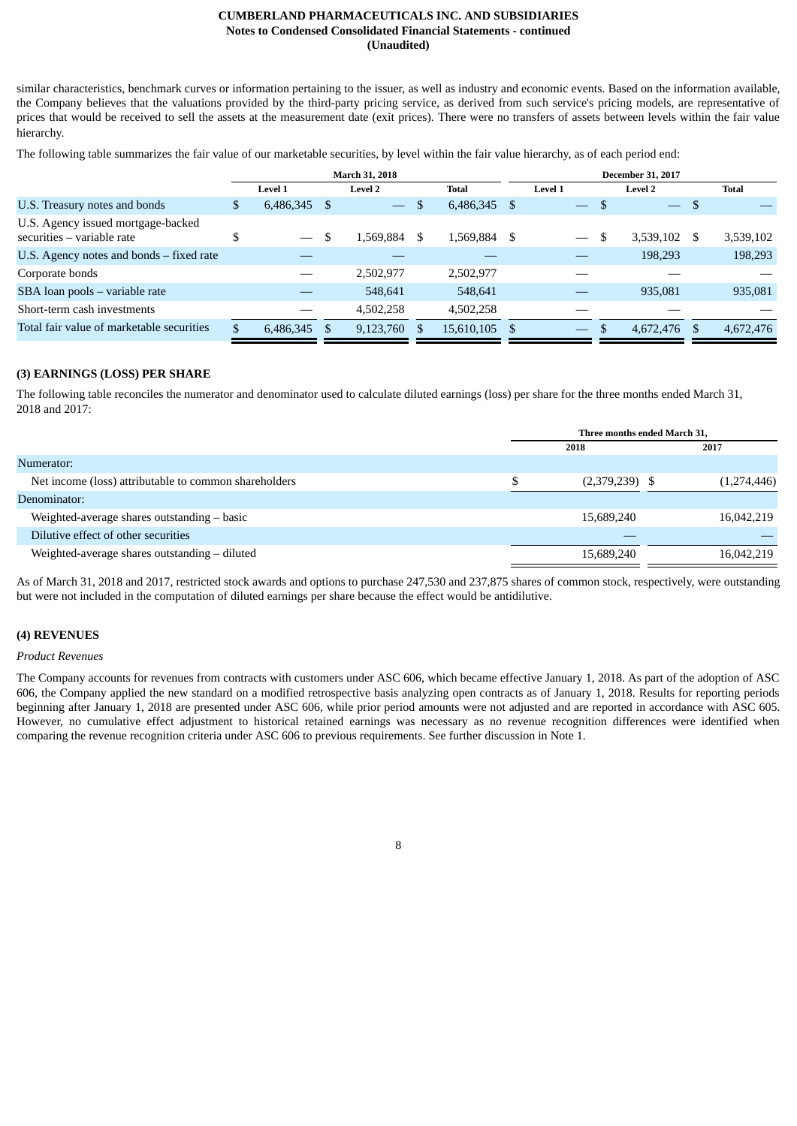similar characteristics, benchmark curves or information pertaining to the issuer, as well as industry and economic events. Based on the information available, the Company believes that the valuations provided by the third-party pricing service, as derived from such service's pricing models, are representative of prices that would be received to sell the assets at the measurement date (exit prices). There were no transfers of assets between levels within the fair value hierarchy.

The following table summarizes the fair value of our marketable securities, by level within the fair value hierarchy, as of each period end:

|                                                                  | March 31, 2018 |                          |      |           |      | <b>December 31, 2017</b> |  |                                 |      |                |  |           |
|------------------------------------------------------------------|----------------|--------------------------|------|-----------|------|--------------------------|--|---------------------------------|------|----------------|--|-----------|
|                                                                  |                | Level 1                  |      | Level 2   |      | Total                    |  | <b>Level 1</b>                  |      | <b>Level 2</b> |  | Total     |
| U.S. Treasury notes and bonds                                    | S.             | 6,486,345                |      |           |      | 6,486,345 \$             |  |                                 |      | $-$ \$         |  |           |
| U.S. Agency issued mortgage-backed<br>securities – variable rate |                | $\overline{\phantom{0}}$ | - \$ | 1,569,884 | - \$ | 1,569,884 \$             |  | $\overbrace{\phantom{aaaaa}}$   | - \$ | 3,539,102 \$   |  | 3,539,102 |
| U.S. Agency notes and bonds - fixed rate                         |                |                          |      |           |      |                          |  |                                 |      | 198,293        |  | 198,293   |
| Corporate bonds                                                  |                |                          |      | 2,502,977 |      | 2,502,977                |  |                                 |      |                |  |           |
| SBA loan pools - variable rate                                   |                |                          |      | 548.641   |      | 548,641                  |  |                                 |      | 935,081        |  | 935,081   |
| Short-term cash investments                                      |                |                          |      | 4,502,258 |      | 4,502,258                |  |                                 |      |                |  |           |
| Total fair value of marketable securities                        |                | 6,486,345                | - \$ | 9,123,760 |      | 15,610,105 \$            |  | $\hspace{0.1mm}-\hspace{0.1mm}$ |      | 4,672,476 \$   |  | 4,672,476 |

# **(3) EARNINGS (LOSS) PER SHARE**

The following table reconciles the numerator and denominator used to calculate diluted earnings (loss) per share for the three months ended March 31, 2018 and 2017:

|                                                       |  | Three months ended March 31, |  |             |
|-------------------------------------------------------|--|------------------------------|--|-------------|
|                                                       |  | 2018                         |  | 2017        |
| Numerator:                                            |  |                              |  |             |
| Net income (loss) attributable to common shareholders |  | $(2,379,239)$ \$             |  | (1,274,446) |
| Denominator:                                          |  |                              |  |             |
| Weighted-average shares outstanding - basic           |  | 15,689,240                   |  | 16,042,219  |
| Dilutive effect of other securities                   |  |                              |  |             |
| Weighted-average shares outstanding - diluted         |  | 15,689,240                   |  | 16,042,219  |

As of March 31, 2018 and 2017, restricted stock awards and options to purchase 247,530 and 237,875 shares of common stock, respectively, were outstanding but were not included in the computation of diluted earnings per share because the effect would be antidilutive.

# **(4) REVENUES**

#### *Product Revenues*

The Company accounts for revenues from contracts with customers under ASC 606, which became effective January 1, 2018. As part of the adoption of ASC 606, the Company applied the new standard on a modified retrospective basis analyzing open contracts as of January 1, 2018. Results for reporting periods beginning after January 1, 2018 are presented under ASC 606, while prior period amounts were not adjusted and are reported in accordance with ASC 605. However, no cumulative effect adjustment to historical retained earnings was necessary as no revenue recognition differences were identified when comparing the revenue recognition criteria under ASC 606 to previous requirements. See further discussion in Note 1.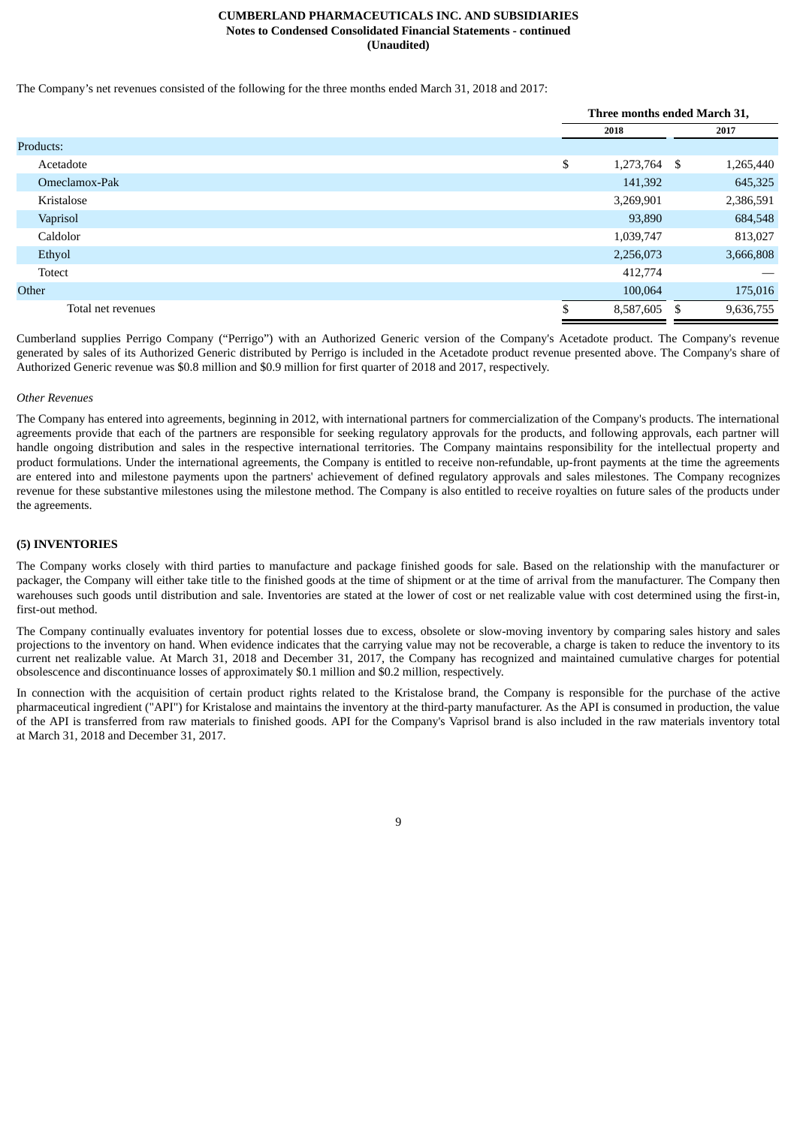The Company's net revenues consisted of the following for the three months ended March 31, 2018 and 2017:

|                    | Three months ended March 31, |  |           |  |
|--------------------|------------------------------|--|-----------|--|
|                    | 2018                         |  | 2017      |  |
| Products:          |                              |  |           |  |
| Acetadote          | \$<br>1,273,764 \$           |  | 1,265,440 |  |
| Omeclamox-Pak      | 141,392                      |  | 645,325   |  |
| Kristalose         | 3,269,901                    |  | 2,386,591 |  |
| Vaprisol           | 93,890                       |  | 684,548   |  |
| Caldolor           | 1,039,747                    |  | 813,027   |  |
| Ethyol             | 2,256,073                    |  | 3,666,808 |  |
| Totect             | 412,774                      |  |           |  |
| Other              | 100,064                      |  | 175,016   |  |
| Total net revenues | \$<br>8,587,605 \$           |  | 9,636,755 |  |

Cumberland supplies Perrigo Company ("Perrigo") with an Authorized Generic version of the Company's Acetadote product. The Company's revenue generated by sales of its Authorized Generic distributed by Perrigo is included in the Acetadote product revenue presented above. The Company's share of Authorized Generic revenue was \$0.8 million and \$0.9 million for first quarter of 2018 and 2017, respectively.

# *Other Revenues*

The Company has entered into agreements, beginning in 2012, with international partners for commercialization of the Company's products. The international agreements provide that each of the partners are responsible for seeking regulatory approvals for the products, and following approvals, each partner will handle ongoing distribution and sales in the respective international territories. The Company maintains responsibility for the intellectual property and product formulations. Under the international agreements, the Company is entitled to receive non-refundable, up-front payments at the time the agreements are entered into and milestone payments upon the partners' achievement of defined regulatory approvals and sales milestones. The Company recognizes revenue for these substantive milestones using the milestone method. The Company is also entitled to receive royalties on future sales of the products under the agreements.

# **(5) INVENTORIES**

The Company works closely with third parties to manufacture and package finished goods for sale. Based on the relationship with the manufacturer or packager, the Company will either take title to the finished goods at the time of shipment or at the time of arrival from the manufacturer. The Company then warehouses such goods until distribution and sale. Inventories are stated at the lower of cost or net realizable value with cost determined using the first-in, first-out method.

The Company continually evaluates inventory for potential losses due to excess, obsolete or slow-moving inventory by comparing sales history and sales projections to the inventory on hand. When evidence indicates that the carrying value may not be recoverable, a charge is taken to reduce the inventory to its current net realizable value. At March 31, 2018 and December 31, 2017, the Company has recognized and maintained cumulative charges for potential obsolescence and discontinuance losses of approximately \$0.1 million and \$0.2 million, respectively.

In connection with the acquisition of certain product rights related to the Kristalose brand, the Company is responsible for the purchase of the active pharmaceutical ingredient ("API") for Kristalose and maintains the inventory at the third-party manufacturer. As the API is consumed in production, the value of the API is transferred from raw materials to finished goods. API for the Company's Vaprisol brand is also included in the raw materials inventory total at March 31, 2018 and December 31, 2017.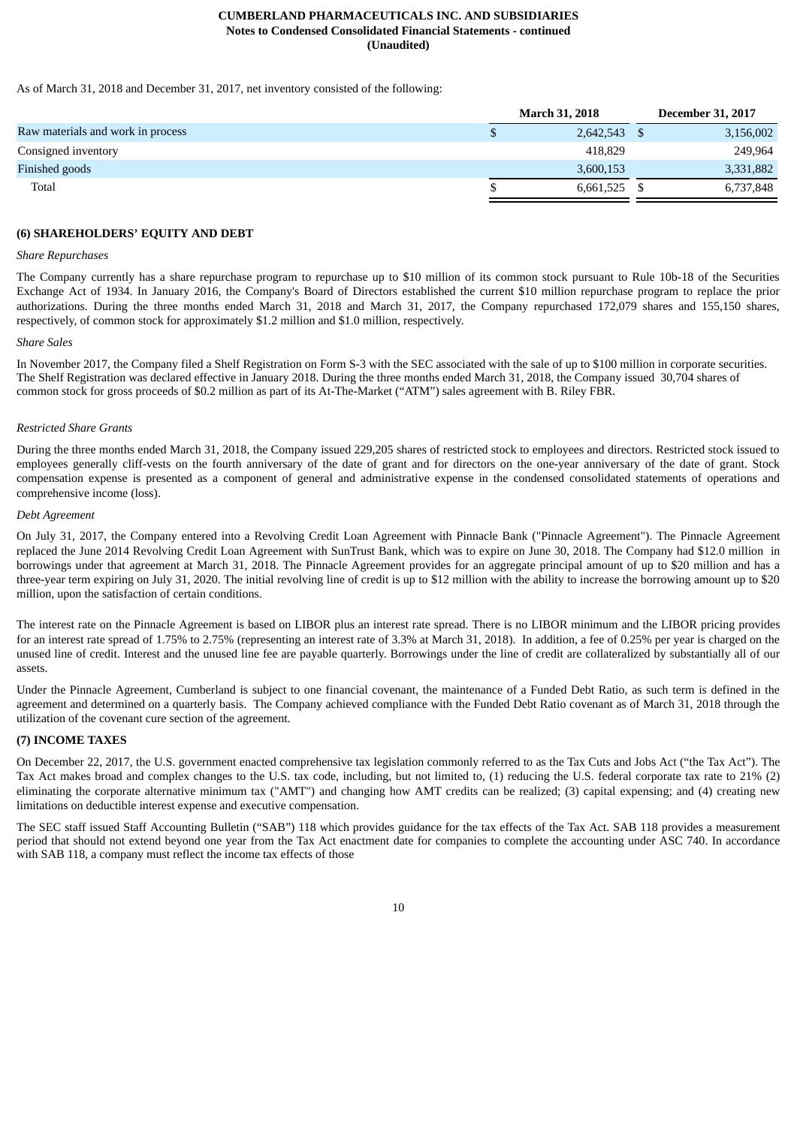As of March 31, 2018 and December 31, 2017, net inventory consisted of the following:

|                                   | <b>March 31, 2018</b> |           |  | <b>December 31, 2017</b> |
|-----------------------------------|-----------------------|-----------|--|--------------------------|
| Raw materials and work in process |                       | 2,642,543 |  | 3,156,002                |
| Consigned inventory               |                       | 418,829   |  | 249,964                  |
| Finished goods                    |                       | 3,600,153 |  | 3,331,882                |
| Total                             |                       | 6,661,525 |  | 6,737,848                |

# **(6) SHAREHOLDERS' EQUITY AND DEBT**

#### *Share Repurchases*

The Company currently has a share repurchase program to repurchase up to \$10 million of its common stock pursuant to Rule 10b-18 of the Securities Exchange Act of 1934. In January 2016, the Company's Board of Directors established the current \$10 million repurchase program to replace the prior authorizations. During the three months ended March 31, 2018 and March 31, 2017, the Company repurchased 172,079 shares and 155,150 shares, respectively, of common stock for approximately \$1.2 million and \$1.0 million, respectively.

#### *Share Sales*

In November 2017, the Company filed a Shelf Registration on Form S-3 with the SEC associated with the sale of up to \$100 million in corporate securities. The Shelf Registration was declared effective in January 2018. During the three months ended March 31, 2018, the Company issued 30,704 shares of common stock for gross proceeds of \$0.2 million as part of its At-The-Market ("ATM") sales agreement with B. Riley FBR.

#### *Restricted Share Grants*

During the three months ended March 31, 2018, the Company issued 229,205 shares of restricted stock to employees and directors. Restricted stock issued to employees generally cliff-vests on the fourth anniversary of the date of grant and for directors on the one-year anniversary of the date of grant. Stock compensation expense is presented as a component of general and administrative expense in the condensed consolidated statements of operations and comprehensive income (loss).

#### *Debt Agreement*

On July 31, 2017, the Company entered into a Revolving Credit Loan Agreement with Pinnacle Bank ("Pinnacle Agreement"). The Pinnacle Agreement replaced the June 2014 Revolving Credit Loan Agreement with SunTrust Bank, which was to expire on June 30, 2018. The Company had \$12.0 million in borrowings under that agreement at March 31, 2018. The Pinnacle Agreement provides for an aggregate principal amount of up to \$20 million and has a three-year term expiring on July 31, 2020. The initial revolving line of credit is up to \$12 million with the ability to increase the borrowing amount up to \$20 million, upon the satisfaction of certain conditions.

The interest rate on the Pinnacle Agreement is based on LIBOR plus an interest rate spread. There is no LIBOR minimum and the LIBOR pricing provides for an interest rate spread of 1.75% to 2.75% (representing an interest rate of 3.3% at March 31, 2018). In addition, a fee of 0.25% per year is charged on the unused line of credit. Interest and the unused line fee are payable quarterly. Borrowings under the line of credit are collateralized by substantially all of our assets.

Under the Pinnacle Agreement, Cumberland is subject to one financial covenant, the maintenance of a Funded Debt Ratio, as such term is defined in the agreement and determined on a quarterly basis. The Company achieved compliance with the Funded Debt Ratio covenant as of March 31, 2018 through the utilization of the covenant cure section of the agreement.

# **(7) INCOME TAXES**

On December 22, 2017, the U.S. government enacted comprehensive tax legislation commonly referred to as the Tax Cuts and Jobs Act ("the Tax Act"). The Tax Act makes broad and complex changes to the U.S. tax code, including, but not limited to, (1) reducing the U.S. federal corporate tax rate to 21% (2) eliminating the corporate alternative minimum tax ("AMT") and changing how AMT credits can be realized; (3) capital expensing; and (4) creating new limitations on deductible interest expense and executive compensation.

The SEC staff issued Staff Accounting Bulletin ("SAB") 118 which provides guidance for the tax effects of the Tax Act. SAB 118 provides a measurement period that should not extend beyond one year from the Tax Act enactment date for companies to complete the accounting under ASC 740. In accordance with SAB 118, a company must reflect the income tax effects of those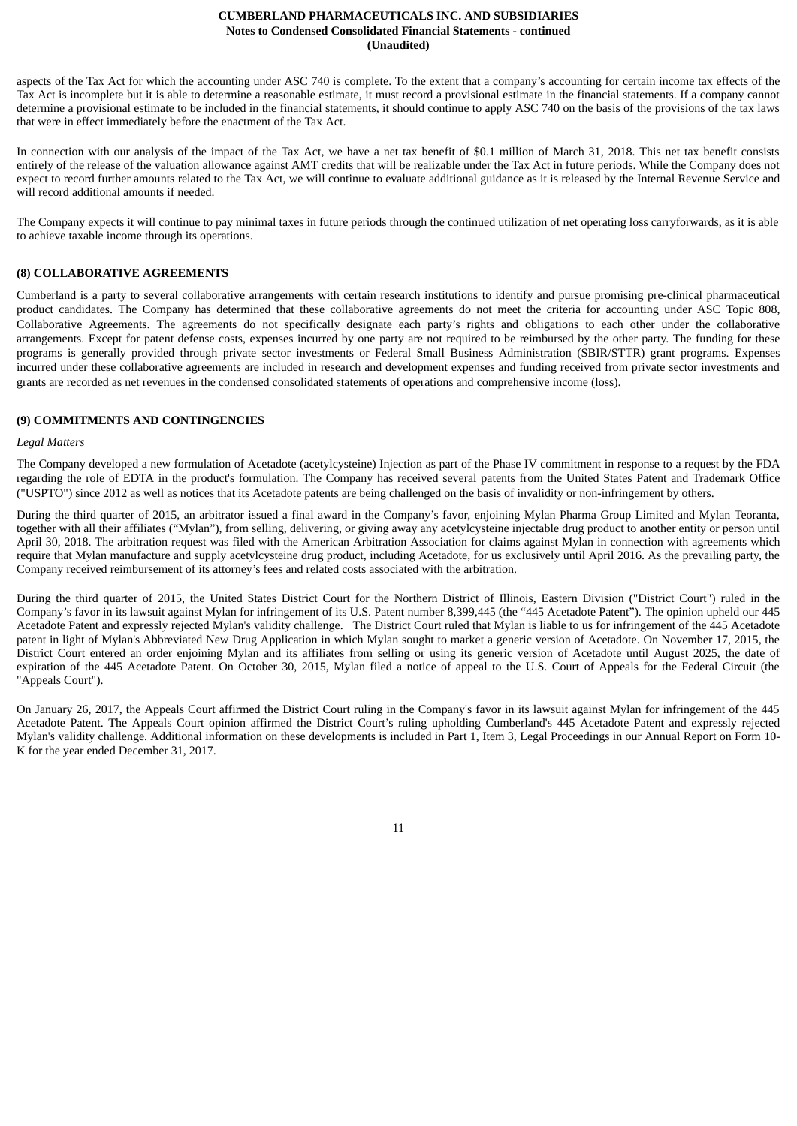aspects of the Tax Act for which the accounting under ASC 740 is complete. To the extent that a company's accounting for certain income tax effects of the Tax Act is incomplete but it is able to determine a reasonable estimate, it must record a provisional estimate in the financial statements. If a company cannot determine a provisional estimate to be included in the financial statements, it should continue to apply ASC 740 on the basis of the provisions of the tax laws that were in effect immediately before the enactment of the Tax Act.

In connection with our analysis of the impact of the Tax Act, we have a net tax benefit of \$0.1 million of March 31, 2018. This net tax benefit consists entirely of the release of the valuation allowance against AMT credits that will be realizable under the Tax Act in future periods. While the Company does not expect to record further amounts related to the Tax Act, we will continue to evaluate additional guidance as it is released by the Internal Revenue Service and will record additional amounts if needed.

The Company expects it will continue to pay minimal taxes in future periods through the continued utilization of net operating loss carryforwards, as it is able to achieve taxable income through its operations.

# **(8) COLLABORATIVE AGREEMENTS**

Cumberland is a party to several collaborative arrangements with certain research institutions to identify and pursue promising pre-clinical pharmaceutical product candidates. The Company has determined that these collaborative agreements do not meet the criteria for accounting under ASC Topic 808, Collaborative Agreements. The agreements do not specifically designate each party's rights and obligations to each other under the collaborative arrangements. Except for patent defense costs, expenses incurred by one party are not required to be reimbursed by the other party. The funding for these programs is generally provided through private sector investments or Federal Small Business Administration (SBIR/STTR) grant programs. Expenses incurred under these collaborative agreements are included in research and development expenses and funding received from private sector investments and grants are recorded as net revenues in the condensed consolidated statements of operations and comprehensive income (loss).

# **(9) COMMITMENTS AND CONTINGENCIES**

#### *Legal Matters*

The Company developed a new formulation of Acetadote (acetylcysteine) Injection as part of the Phase IV commitment in response to a request by the FDA regarding the role of EDTA in the product's formulation. The Company has received several patents from the United States Patent and Trademark Office ("USPTO") since 2012 as well as notices that its Acetadote patents are being challenged on the basis of invalidity or non-infringement by others.

During the third quarter of 2015, an arbitrator issued a final award in the Company's favor, enjoining Mylan Pharma Group Limited and Mylan Teoranta, together with all their affiliates ("Mylan"), from selling, delivering, or giving away any acetylcysteine injectable drug product to another entity or person until April 30, 2018. The arbitration request was filed with the American Arbitration Association for claims against Mylan in connection with agreements which require that Mylan manufacture and supply acetylcysteine drug product, including Acetadote, for us exclusively until April 2016. As the prevailing party, the Company received reimbursement of its attorney's fees and related costs associated with the arbitration.

During the third quarter of 2015, the United States District Court for the Northern District of Illinois, Eastern Division ("District Court") ruled in the Company's favor in its lawsuit against Mylan for infringement of its U.S. Patent number 8,399,445 (the "445 Acetadote Patent"). The opinion upheld our 445 Acetadote Patent and expressly rejected Mylan's validity challenge. The District Court ruled that Mylan is liable to us for infringement of the 445 Acetadote patent in light of Mylan's Abbreviated New Drug Application in which Mylan sought to market a generic version of Acetadote. On November 17, 2015, the District Court entered an order enjoining Mylan and its affiliates from selling or using its generic version of Acetadote until August 2025, the date of expiration of the 445 Acetadote Patent. On October 30, 2015, Mylan filed a notice of appeal to the U.S. Court of Appeals for the Federal Circuit (the "Appeals Court").

<span id="page-12-0"></span>On January 26, 2017, the Appeals Court affirmed the District Court ruling in the Company's favor in its lawsuit against Mylan for infringement of the 445 Acetadote Patent. The Appeals Court opinion affirmed the District Court's ruling upholding Cumberland's 445 Acetadote Patent and expressly rejected Mylan's validity challenge. Additional information on these developments is included in Part 1, Item 3, Legal Proceedings in our Annual Report on Form 10- K for the year ended December 31, 2017.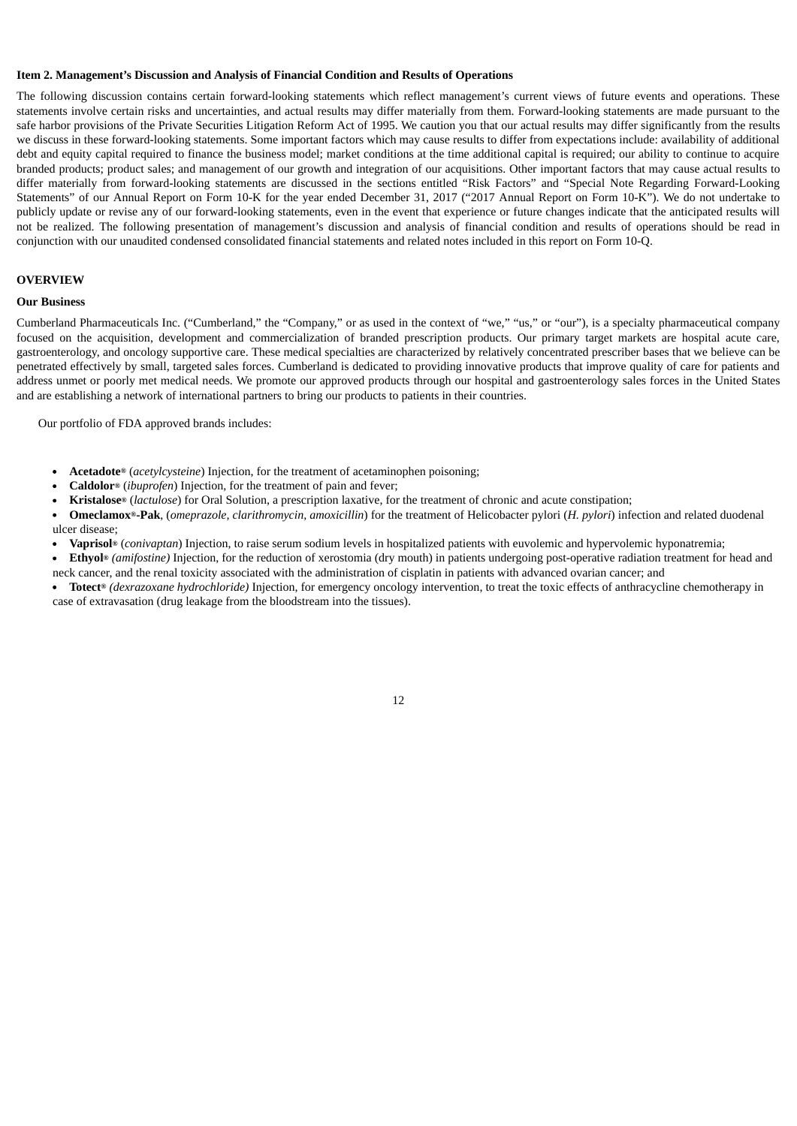#### **Item 2. Management's Discussion and Analysis of Financial Condition and Results of Operations**

The following discussion contains certain forward-looking statements which reflect management's current views of future events and operations. These statements involve certain risks and uncertainties, and actual results may differ materially from them. Forward-looking statements are made pursuant to the safe harbor provisions of the Private Securities Litigation Reform Act of 1995. We caution you that our actual results may differ significantly from the results we discuss in these forward-looking statements. Some important factors which may cause results to differ from expectations include: availability of additional debt and equity capital required to finance the business model; market conditions at the time additional capital is required; our ability to continue to acquire branded products; product sales; and management of our growth and integration of our acquisitions. Other important factors that may cause actual results to differ materially from forward-looking statements are discussed in the sections entitled "Risk Factors" and "Special Note Regarding Forward-Looking Statements" of our Annual Report on Form 10-K for the year ended December 31, 2017 ("2017 Annual Report on Form 10-K"). We do not undertake to publicly update or revise any of our forward-looking statements, even in the event that experience or future changes indicate that the anticipated results will not be realized. The following presentation of management's discussion and analysis of financial condition and results of operations should be read in conjunction with our unaudited condensed consolidated financial statements and related notes included in this report on Form 10-Q.

#### **OVERVIEW**

# **Our Business**

Cumberland Pharmaceuticals Inc. ("Cumberland," the "Company," or as used in the context of "we," "us," or "our"), is a specialty pharmaceutical company focused on the acquisition, development and commercialization of branded prescription products. Our primary target markets are hospital acute care, gastroenterology, and oncology supportive care. These medical specialties are characterized by relatively concentrated prescriber bases that we believe can be penetrated effectively by small, targeted sales forces. Cumberland is dedicated to providing innovative products that improve quality of care for patients and address unmet or poorly met medical needs. We promote our approved products through our hospital and gastroenterology sales forces in the United States and are establishing a network of international partners to bring our products to patients in their countries.

Our portfolio of FDA approved brands includes:

- **Acetadote®** (*acetylcysteine*) Injection, for the treatment of acetaminophen poisoning;
- **Caldolor®** (*ibuprofen*) Injection, for the treatment of pain and fever;
- **Kristalose®** (*lactulose*) for Oral Solution, a prescription laxative, for the treatment of chronic and acute constipation;

**Omeclamox®-Pak**, (*omeprazole, clarithromycin, amoxicillin*) for the treatment of Helicobacter pylori (*H. pylori*) infection and related duodenal ulcer disease;

**Vaprisol®** (*conivaptan*) Injection, to raise serum sodium levels in hospitalized patients with euvolemic and hypervolemic hyponatremia;

**Ethyol®** *(amifostine)* Injection, for the reduction of xerostomia (dry mouth) in patients undergoing post-operative radiation treatment for head and neck cancer, and the renal toxicity associated with the administration of cisplatin in patients with advanced ovarian cancer; and

**Totect®** *(dexrazoxane hydrochloride)* Injection, for emergency oncology intervention, to treat the toxic effects of anthracycline chemotherapy in case of extravasation (drug leakage from the bloodstream into the tissues).

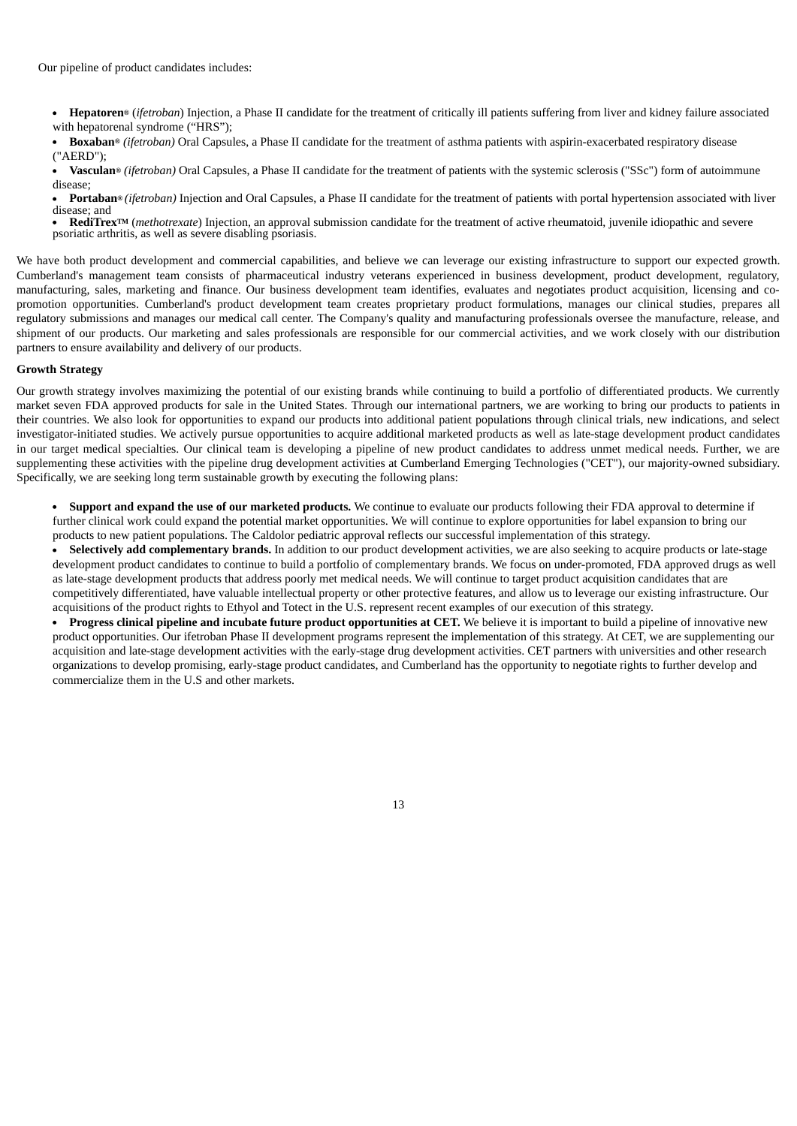**Hepatoren®** (*ifetroban*) Injection, a Phase II candidate for the treatment of critically ill patients suffering from liver and kidney failure associated with hepatorenal syndrome ("HRS");

**Boxaban®** *(ifetroban)* Oral Capsules, a Phase II candidate for the treatment of asthma patients with aspirin-exacerbated respiratory disease ("AERD");

**Vasculan®** *(ifetroban)* Oral Capsules, a Phase II candidate for the treatment of patients with the systemic sclerosis ("SSc") form of autoimmune disease;

**Portaban®** *(ifetroban)* Injection and Oral Capsules, a Phase II candidate for the treatment of patients with portal hypertension associated with liver disease; and

**RediTrexTM** (*methotrexate*) Injection, an approval submission candidate for the treatment of active rheumatoid, juvenile idiopathic and severe psoriatic arthritis, as well as severe disabling psoriasis.

We have both product development and commercial capabilities, and believe we can leverage our existing infrastructure to support our expected growth. Cumberland's management team consists of pharmaceutical industry veterans experienced in business development, product development, regulatory, manufacturing, sales, marketing and finance. Our business development team identifies, evaluates and negotiates product acquisition, licensing and copromotion opportunities. Cumberland's product development team creates proprietary product formulations, manages our clinical studies, prepares all regulatory submissions and manages our medical call center. The Company's quality and manufacturing professionals oversee the manufacture, release, and shipment of our products. Our marketing and sales professionals are responsible for our commercial activities, and we work closely with our distribution partners to ensure availability and delivery of our products.

# **Growth Strategy**

Our growth strategy involves maximizing the potential of our existing brands while continuing to build a portfolio of differentiated products. We currently market seven FDA approved products for sale in the United States. Through our international partners, we are working to bring our products to patients in their countries. We also look for opportunities to expand our products into additional patient populations through clinical trials, new indications, and select investigator-initiated studies. We actively pursue opportunities to acquire additional marketed products as well as late-stage development product candidates in our target medical specialties. Our clinical team is developing a pipeline of new product candidates to address unmet medical needs. Further, we are supplementing these activities with the pipeline drug development activities at Cumberland Emerging Technologies ("CET"), our majority-owned subsidiary. Specifically, we are seeking long term sustainable growth by executing the following plans:

**Support and expand the use of our marketed products.** We continue to evaluate our products following their FDA approval to determine if further clinical work could expand the potential market opportunities. We will continue to explore opportunities for label expansion to bring our products to new patient populations. The Caldolor pediatric approval reflects our successful implementation of this strategy.

**Selectively add complementary brands.** In addition to our product development activities, we are also seeking to acquire products or late-stage development product candidates to continue to build a portfolio of complementary brands. We focus on under-promoted, FDA approved drugs as well as late-stage development products that address poorly met medical needs. We will continue to target product acquisition candidates that are competitively differentiated, have valuable intellectual property or other protective features, and allow us to leverage our existing infrastructure. Our acquisitions of the product rights to Ethyol and Totect in the U.S. represent recent examples of our execution of this strategy.

**Progress clinical pipeline and incubate future product opportunities at CET.** We believe it is important to build a pipeline of innovative new product opportunities. Our ifetroban Phase II development programs represent the implementation of this strategy. At CET, we are supplementing our acquisition and late-stage development activities with the early-stage drug development activities. CET partners with universities and other research organizations to develop promising, early-stage product candidates, and Cumberland has the opportunity to negotiate rights to further develop and commercialize them in the U.S and other markets.

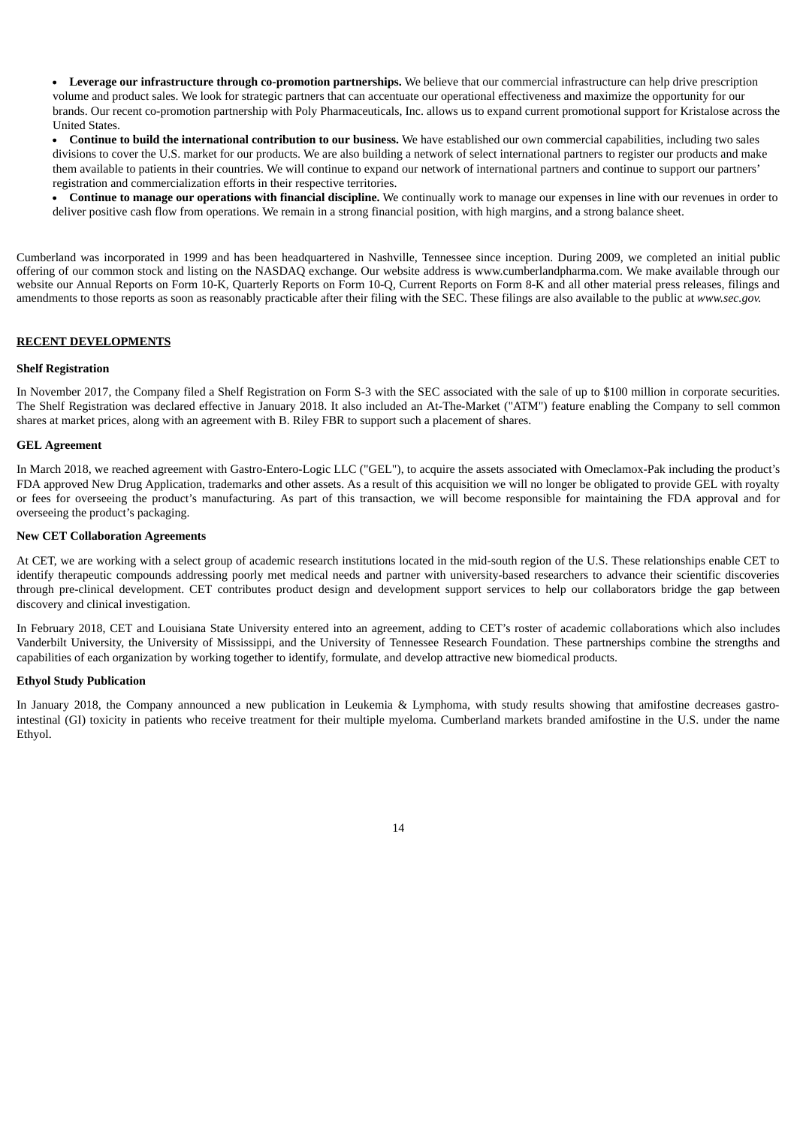**Leverage our infrastructure through co-promotion partnerships.** We believe that our commercial infrastructure can help drive prescription volume and product sales. We look for strategic partners that can accentuate our operational effectiveness and maximize the opportunity for our brands. Our recent co-promotion partnership with Poly Pharmaceuticals, Inc. allows us to expand current promotional support for Kristalose across the United States.

**Continue to build the international contribution to our business.** We have established our own commercial capabilities, including two sales  $\bullet$ divisions to cover the U.S. market for our products. We are also building a network of select international partners to register our products and make them available to patients in their countries. We will continue to expand our network of international partners and continue to support our partners' registration and commercialization efforts in their respective territories.

 $\bullet$ **Continue to manage our operations with financial discipline.** We continually work to manage our expenses in line with our revenues in order to deliver positive cash flow from operations. We remain in a strong financial position, with high margins, and a strong balance sheet.

Cumberland was incorporated in 1999 and has been headquartered in Nashville, Tennessee since inception. During 2009, we completed an initial public offering of our common stock and listing on the NASDAQ exchange. Our website address is www.cumberlandpharma.com. We make available through our website our Annual Reports on Form 10-K, Quarterly Reports on Form 10-Q, Current Reports on Form 8-K and all other material press releases, filings and amendments to those reports as soon as reasonably practicable after their filing with the SEC. These filings are also available to the public at *www.sec.gov.*

# **RECENT DEVELOPMENTS**

# **Shelf Registration**

In November 2017, the Company filed a Shelf Registration on Form S-3 with the SEC associated with the sale of up to \$100 million in corporate securities. The Shelf Registration was declared effective in January 2018. It also included an At-The-Market ("ATM") feature enabling the Company to sell common shares at market prices, along with an agreement with B. Riley FBR to support such a placement of shares.

# **GEL Agreement**

In March 2018, we reached agreement with Gastro-Entero-Logic LLC ("GEL"), to acquire the assets associated with Omeclamox-Pak including the product's FDA approved New Drug Application, trademarks and other assets. As a result of this acquisition we will no longer be obligated to provide GEL with royalty or fees for overseeing the product's manufacturing. As part of this transaction, we will become responsible for maintaining the FDA approval and for overseeing the product's packaging.

# **New CET Collaboration Agreements**

At CET, we are working with a select group of academic research institutions located in the mid-south region of the U.S. These relationships enable CET to identify therapeutic compounds addressing poorly met medical needs and partner with university-based researchers to advance their scientific discoveries through pre-clinical development. CET contributes product design and development support services to help our collaborators bridge the gap between discovery and clinical investigation.

In February 2018, CET and Louisiana State University entered into an agreement, adding to CET's roster of academic collaborations which also includes Vanderbilt University, the University of Mississippi, and the University of Tennessee Research Foundation. These partnerships combine the strengths and capabilities of each organization by working together to identify, formulate, and develop attractive new biomedical products.

#### **Ethyol Study Publication**

In January 2018, the Company announced a new publication in Leukemia & Lymphoma, with study results showing that amifostine decreases gastrointestinal (GI) toxicity in patients who receive treatment for their multiple myeloma. Cumberland markets branded amifostine in the U.S. under the name Ethyol.

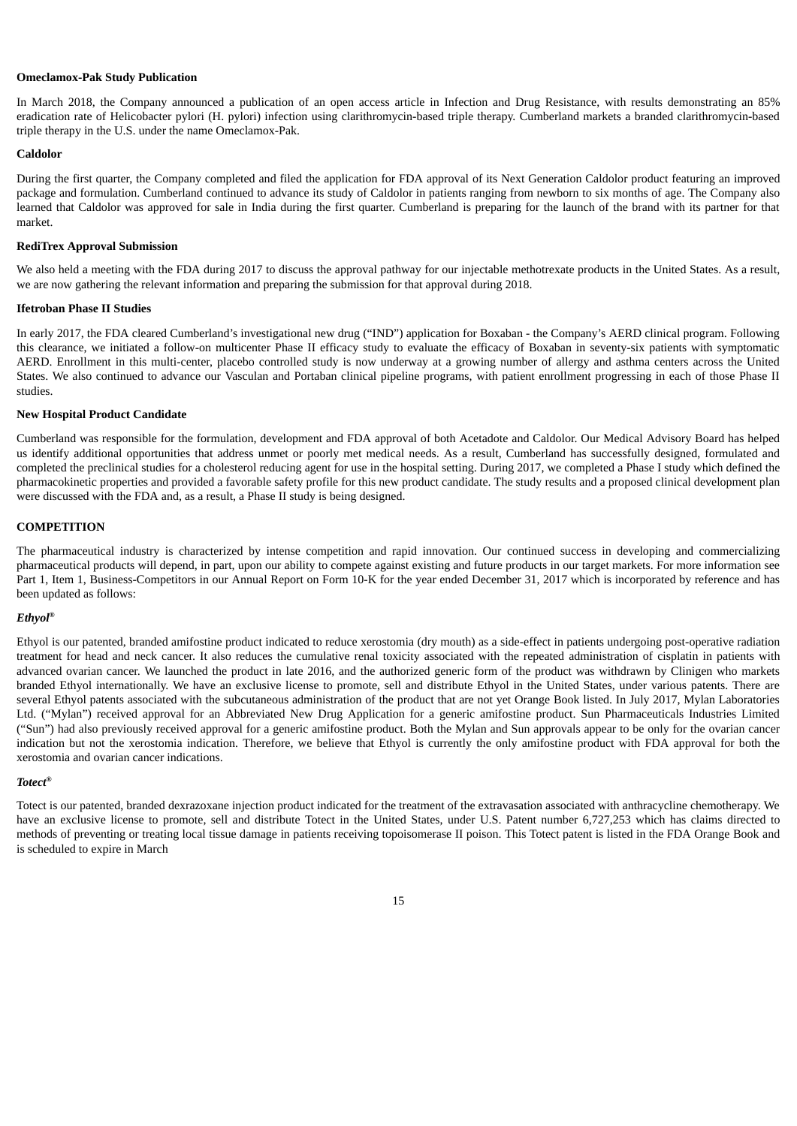#### **Omeclamox-Pak Study Publication**

In March 2018, the Company announced a publication of an open access article in Infection and Drug Resistance, with results demonstrating an 85% eradication rate of Helicobacter pylori (H. pylori) infection using clarithromycin-based triple therapy. Cumberland markets a branded clarithromycin-based triple therapy in the U.S. under the name Omeclamox-Pak.

#### **Caldolor**

During the first quarter, the Company completed and filed the application for FDA approval of its Next Generation Caldolor product featuring an improved package and formulation. Cumberland continued to advance its study of Caldolor in patients ranging from newborn to six months of age. The Company also learned that Caldolor was approved for sale in India during the first quarter. Cumberland is preparing for the launch of the brand with its partner for that market.

#### **RediTrex Approval Submission**

We also held a meeting with the FDA during 2017 to discuss the approval pathway for our injectable methotrexate products in the United States. As a result, we are now gathering the relevant information and preparing the submission for that approval during 2018.

#### **Ifetroban Phase II Studies**

In early 2017, the FDA cleared Cumberland's investigational new drug ("IND") application for Boxaban - the Company's AERD clinical program. Following this clearance, we initiated a follow-on multicenter Phase II efficacy study to evaluate the efficacy of Boxaban in seventy-six patients with symptomatic AERD. Enrollment in this multi-center, placebo controlled study is now underway at a growing number of allergy and asthma centers across the United States. We also continued to advance our Vasculan and Portaban clinical pipeline programs, with patient enrollment progressing in each of those Phase II studies.

#### **New Hospital Product Candidate**

Cumberland was responsible for the formulation, development and FDA approval of both Acetadote and Caldolor. Our Medical Advisory Board has helped us identify additional opportunities that address unmet or poorly met medical needs. As a result, Cumberland has successfully designed, formulated and completed the preclinical studies for a cholesterol reducing agent for use in the hospital setting. During 2017, we completed a Phase I study which defined the pharmacokinetic properties and provided a favorable safety profile for this new product candidate. The study results and a proposed clinical development plan were discussed with the FDA and, as a result, a Phase II study is being designed.

#### **COMPETITION**

The pharmaceutical industry is characterized by intense competition and rapid innovation. Our continued success in developing and commercializing pharmaceutical products will depend, in part, upon our ability to compete against existing and future products in our target markets. For more information see Part 1, Item 1, Business-Competitors in our Annual Report on Form 10-K for the year ended December 31, 2017 which is incorporated by reference and has been updated as follows:

#### *Ethyol* **®**

Ethyol is our patented, branded amifostine product indicated to reduce xerostomia (dry mouth) as a side-effect in patients undergoing post-operative radiation treatment for head and neck cancer. It also reduces the cumulative renal toxicity associated with the repeated administration of cisplatin in patients with advanced ovarian cancer. We launched the product in late 2016, and the authorized generic form of the product was withdrawn by Clinigen who markets branded Ethyol internationally. We have an exclusive license to promote, sell and distribute Ethyol in the United States, under various patents. There are several Ethyol patents associated with the subcutaneous administration of the product that are not yet Orange Book listed. In July 2017, Mylan Laboratories Ltd. ("Mylan") received approval for an Abbreviated New Drug Application for a generic amifostine product. Sun Pharmaceuticals Industries Limited ("Sun") had also previously received approval for a generic amifostine product. Both the Mylan and Sun approvals appear to be only for the ovarian cancer indication but not the xerostomia indication. Therefore, we believe that Ethyol is currently the only amifostine product with FDA approval for both the xerostomia and ovarian cancer indications.

#### *Totect ®*

Totect is our patented, branded dexrazoxane injection product indicated for the treatment of the extravasation associated with anthracycline chemotherapy. We have an exclusive license to promote, sell and distribute Totect in the United States, under U.S. Patent number 6,727,253 which has claims directed to methods of preventing or treating local tissue damage in patients receiving topoisomerase II poison. This Totect patent is listed in the FDA Orange Book and is scheduled to expire in March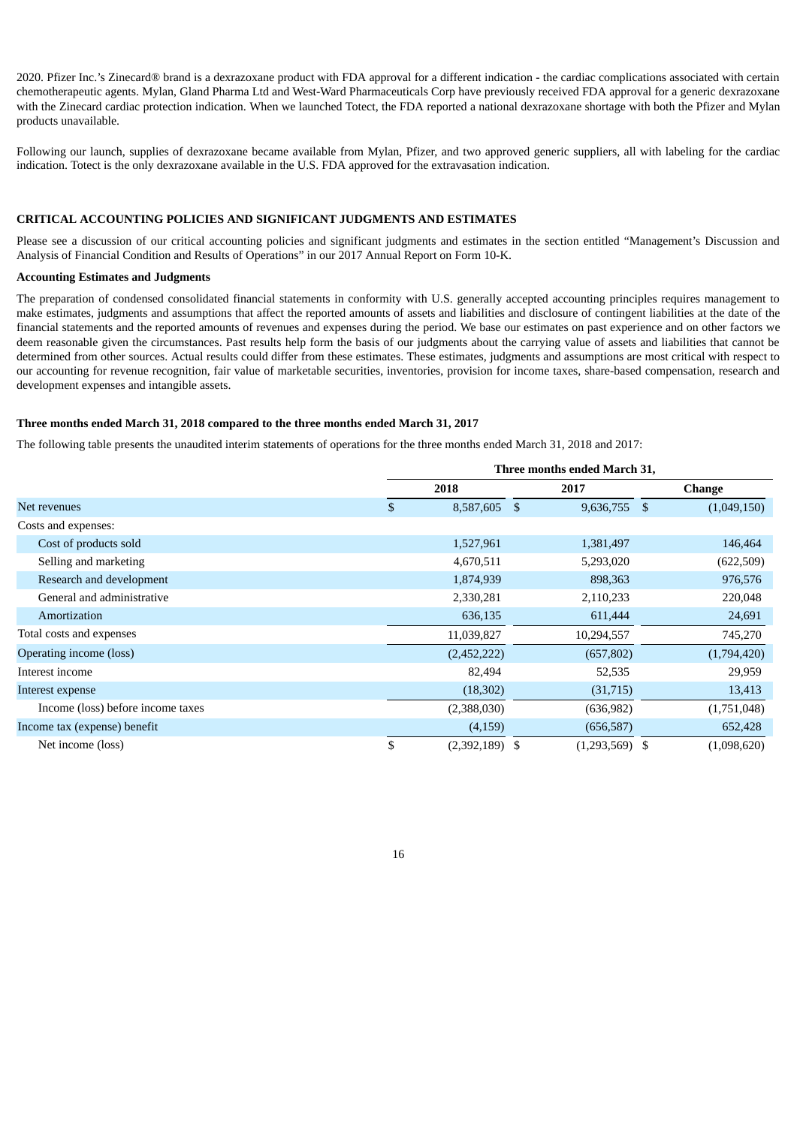2020. Pfizer Inc.'s Zinecard® brand is a dexrazoxane product with FDA approval for a different indication - the cardiac complications associated with certain chemotherapeutic agents. Mylan, Gland Pharma Ltd and West-Ward Pharmaceuticals Corp have previously received FDA approval for a generic dexrazoxane with the Zinecard cardiac protection indication. When we launched Totect, the FDA reported a national dexrazoxane shortage with both the Pfizer and Mylan products unavailable.

Following our launch, supplies of dexrazoxane became available from Mylan, Pfizer, and two approved generic suppliers, all with labeling for the cardiac indication. Totect is the only dexrazoxane available in the U.S. FDA approved for the extravasation indication.

# **CRITICAL ACCOUNTING POLICIES AND SIGNIFICANT JUDGMENTS AND ESTIMATES**

Please see a discussion of our critical accounting policies and significant judgments and estimates in the section entitled "Management's Discussion and Analysis of Financial Condition and Results of Operations" in our 2017 Annual Report on Form 10-K.

#### **Accounting Estimates and Judgments**

The preparation of condensed consolidated financial statements in conformity with U.S. generally accepted accounting principles requires management to make estimates, judgments and assumptions that affect the reported amounts of assets and liabilities and disclosure of contingent liabilities at the date of the financial statements and the reported amounts of revenues and expenses during the period. We base our estimates on past experience and on other factors we deem reasonable given the circumstances. Past results help form the basis of our judgments about the carrying value of assets and liabilities that cannot be determined from other sources. Actual results could differ from these estimates. These estimates, judgments and assumptions are most critical with respect to our accounting for revenue recognition, fair value of marketable securities, inventories, provision for income taxes, share-based compensation, research and development expenses and intangible assets.

#### **Three months ended March 31, 2018 compared to the three months ended March 31, 2017**

The following table presents the unaudited interim statements of operations for the three months ended March 31, 2018 and 2017:

|                                   | Three months ended March 31, |                  |               |  |  |  |  |  |
|-----------------------------------|------------------------------|------------------|---------------|--|--|--|--|--|
|                                   | 2018                         | 2017             | <b>Change</b> |  |  |  |  |  |
| Net revenues                      | 8,587,605 \$                 | 9,636,755 \$     | (1,049,150)   |  |  |  |  |  |
| Costs and expenses:               |                              |                  |               |  |  |  |  |  |
| Cost of products sold             | 1,527,961                    | 1,381,497        | 146,464       |  |  |  |  |  |
| Selling and marketing             | 4,670,511                    | 5,293,020        | (622, 509)    |  |  |  |  |  |
| Research and development          | 1,874,939                    | 898,363          | 976,576       |  |  |  |  |  |
| General and administrative        | 2,330,281                    | 2,110,233        | 220,048       |  |  |  |  |  |
| Amortization                      | 636,135                      | 611,444          | 24,691        |  |  |  |  |  |
| Total costs and expenses          | 11,039,827                   | 10,294,557       | 745,270       |  |  |  |  |  |
| Operating income (loss)           | (2,452,222)                  | (657, 802)       | (1,794,420)   |  |  |  |  |  |
| Interest income                   | 82,494                       | 52,535           | 29,959        |  |  |  |  |  |
| Interest expense                  | (18, 302)                    | (31, 715)        | 13,413        |  |  |  |  |  |
| Income (loss) before income taxes | (2,388,030)                  | (636, 982)       | (1,751,048)   |  |  |  |  |  |
| Income tax (expense) benefit      | (4,159)                      | (656, 587)       | 652,428       |  |  |  |  |  |
| Net income (loss)                 | \$<br>$(2,392,189)$ \$       | $(1,293,569)$ \$ | (1,098,620)   |  |  |  |  |  |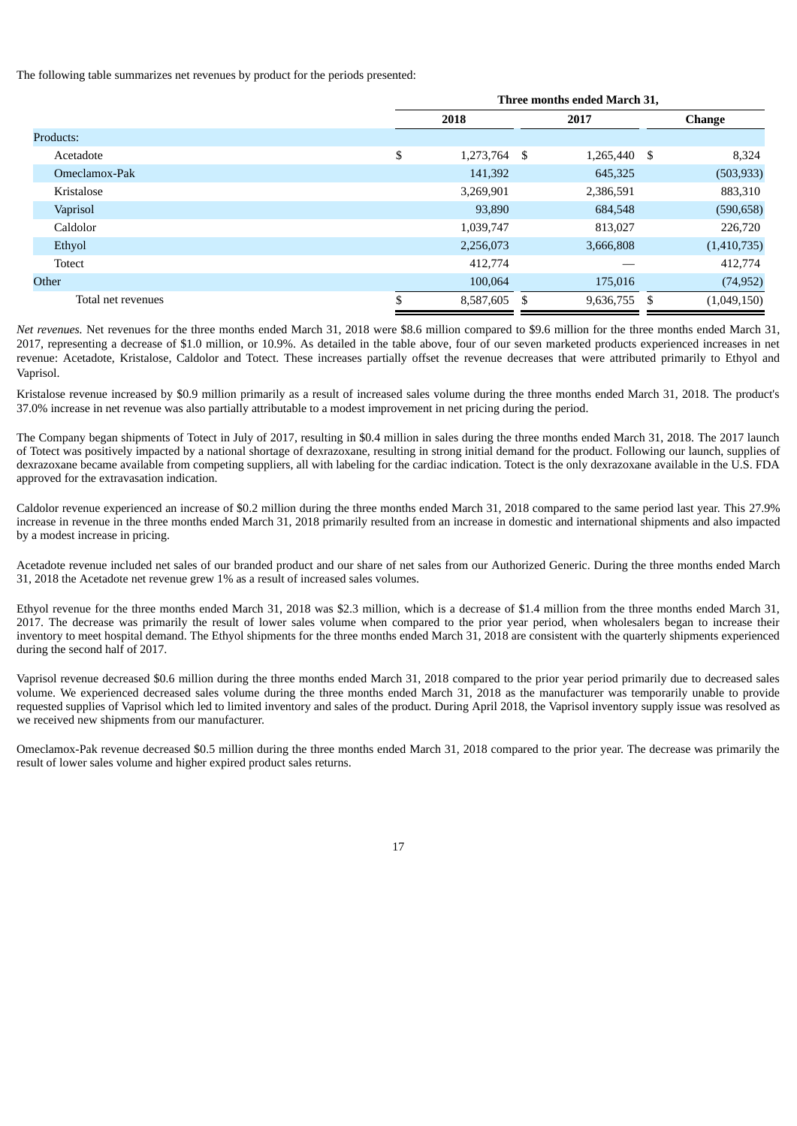The following table summarizes net revenues by product for the periods presented:

|                    |    | Three months ended March 31, |    |              |    |               |  |  |  |
|--------------------|----|------------------------------|----|--------------|----|---------------|--|--|--|
|                    |    | 2018                         |    | 2017         |    | <b>Change</b> |  |  |  |
| Products:          |    |                              |    |              |    |               |  |  |  |
| Acetadote          | \$ | 1,273,764                    | -S | 1,265,440 \$ |    | 8,324         |  |  |  |
| Omeclamox-Pak      |    | 141,392                      |    | 645,325      |    | (503, 933)    |  |  |  |
| Kristalose         |    | 3,269,901                    |    | 2,386,591    |    | 883,310       |  |  |  |
| Vaprisol           |    | 93,890                       |    | 684,548      |    | (590, 658)    |  |  |  |
| Caldolor           |    | 1,039,747                    |    | 813,027      |    | 226,720       |  |  |  |
| Ethyol             |    | 2,256,073                    |    | 3,666,808    |    | (1,410,735)   |  |  |  |
| <b>Totect</b>      |    | 412,774                      |    |              |    | 412,774       |  |  |  |
| Other              |    | 100,064                      |    | 175,016      |    | (74, 952)     |  |  |  |
| Total net revenues | Φ  | 8,587,605                    | \$ | 9,636,755    | \$ | (1,049,150)   |  |  |  |

*Net revenues.* Net revenues for the three months ended March 31, 2018 were \$8.6 million compared to \$9.6 million for the three months ended March 31, 2017, representing a decrease of \$1.0 million, or 10.9%. As detailed in the table above, four of our seven marketed products experienced increases in net revenue: Acetadote, Kristalose, Caldolor and Totect. These increases partially offset the revenue decreases that were attributed primarily to Ethyol and Vaprisol.

Kristalose revenue increased by \$0.9 million primarily as a result of increased sales volume during the three months ended March 31, 2018. The product's 37.0% increase in net revenue was also partially attributable to a modest improvement in net pricing during the period.

The Company began shipments of Totect in July of 2017, resulting in \$0.4 million in sales during the three months ended March 31, 2018. The 2017 launch of Totect was positively impacted by a national shortage of dexrazoxane, resulting in strong initial demand for the product. Following our launch, supplies of dexrazoxane became available from competing suppliers, all with labeling for the cardiac indication. Totect is the only dexrazoxane available in the U.S. FDA approved for the extravasation indication.

Caldolor revenue experienced an increase of \$0.2 million during the three months ended March 31, 2018 compared to the same period last year. This 27.9% increase in revenue in the three months ended March 31, 2018 primarily resulted from an increase in domestic and international shipments and also impacted by a modest increase in pricing.

Acetadote revenue included net sales of our branded product and our share of net sales from our Authorized Generic. During the three months ended March 31, 2018 the Acetadote net revenue grew 1% as a result of increased sales volumes.

Ethyol revenue for the three months ended March 31, 2018 was \$2.3 million, which is a decrease of \$1.4 million from the three months ended March 31, 2017. The decrease was primarily the result of lower sales volume when compared to the prior year period, when wholesalers began to increase their inventory to meet hospital demand. The Ethyol shipments for the three months ended March 31, 2018 are consistent with the quarterly shipments experienced during the second half of 2017.

Vaprisol revenue decreased \$0.6 million during the three months ended March 31, 2018 compared to the prior year period primarily due to decreased sales volume. We experienced decreased sales volume during the three months ended March 31, 2018 as the manufacturer was temporarily unable to provide requested supplies of Vaprisol which led to limited inventory and sales of the product. During April 2018, the Vaprisol inventory supply issue was resolved as we received new shipments from our manufacturer.

Omeclamox-Pak revenue decreased \$0.5 million during the three months ended March 31, 2018 compared to the prior year. The decrease was primarily the result of lower sales volume and higher expired product sales returns.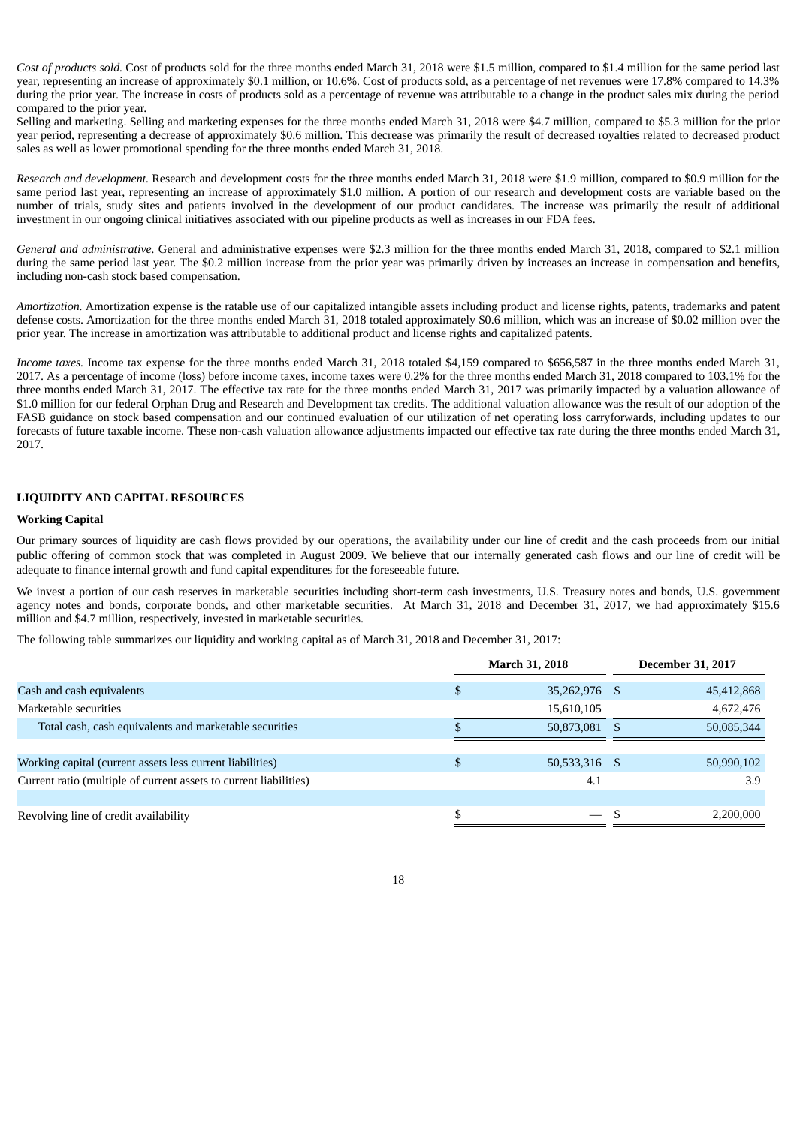*Cost of products sold.* Cost of products sold for the three months ended March 31, 2018 were \$1.5 million, compared to \$1.4 million for the same period last year, representing an increase of approximately \$0.1 million, or 10.6%. Cost of products sold, as a percentage of net revenues were 17.8% compared to 14.3% during the prior year. The increase in costs of products sold as a percentage of revenue was attributable to a change in the product sales mix during the period compared to the prior year.

Selling and marketing. Selling and marketing expenses for the three months ended March 31, 2018 were \$4.7 million, compared to \$5.3 million for the prior year period, representing a decrease of approximately \$0.6 million. This decrease was primarily the result of decreased royalties related to decreased product sales as well as lower promotional spending for the three months ended March 31, 2018.

*Research and development.* Research and development costs for the three months ended March 31, 2018 were \$1.9 million, compared to \$0.9 million for the same period last year, representing an increase of approximately \$1.0 million. A portion of our research and development costs are variable based on the number of trials, study sites and patients involved in the development of our product candidates. The increase was primarily the result of additional investment in our ongoing clinical initiatives associated with our pipeline products as well as increases in our FDA fees.

*General and administrative.* General and administrative expenses were \$2.3 million for the three months ended March 31, 2018, compared to \$2.1 million during the same period last year. The \$0.2 million increase from the prior year was primarily driven by increases an increase in compensation and benefits, including non-cash stock based compensation.

*Amortization.* Amortization expense is the ratable use of our capitalized intangible assets including product and license rights, patents, trademarks and patent defense costs. Amortization for the three months ended March 31, 2018 totaled approximately \$0.6 million, which was an increase of \$0.02 million over the prior year. The increase in amortization was attributable to additional product and license rights and capitalized patents.

*Income taxes*. Income tax expense for the three months ended March 31, 2018 totaled \$4,159 compared to \$656,587 in the three months ended March 31, 2017. As a percentage of income (loss) before income taxes, income taxes were 0.2% for the three months ended March 31, 2018 compared to 103.1% for the three months ended March 31, 2017. The effective tax rate for the three months ended March 31, 2017 was primarily impacted by a valuation allowance of \$1.0 million for our federal Orphan Drug and Research and Development tax credits. The additional valuation allowance was the result of our adoption of the FASB guidance on stock based compensation and our continued evaluation of our utilization of net operating loss carryforwards, including updates to our forecasts of future taxable income. These non-cash valuation allowance adjustments impacted our effective tax rate during the three months ended March 31, 2017.

# **LIQUIDITY AND CAPITAL RESOURCES**

#### **Working Capital**

Our primary sources of liquidity are cash flows provided by our operations, the availability under our line of credit and the cash proceeds from our initial public offering of common stock that was completed in August 2009. We believe that our internally generated cash flows and our line of credit will be adequate to finance internal growth and fund capital expenditures for the foreseeable future.

We invest a portion of our cash reserves in marketable securities including short-term cash investments, U.S. Treasury notes and bonds, U.S. government agency notes and bonds, corporate bonds, and other marketable securities. At March 31, 2018 and December 31, 2017, we had approximately \$15.6 million and \$4.7 million, respectively, invested in marketable securities.

The following table summarizes our liquidity and working capital as of March 31, 2018 and December 31, 2017:

|                                                                   |    | <b>March 31, 2018</b> | <b>December 31, 2017</b> |            |
|-------------------------------------------------------------------|----|-----------------------|--------------------------|------------|
| Cash and cash equivalents                                         | \$ | 35,262,976 \$         |                          | 45,412,868 |
| Marketable securities                                             |    | 15,610,105            |                          | 4,672,476  |
| Total cash, cash equivalents and marketable securities            |    | 50,873,081 \$         |                          | 50,085,344 |
|                                                                   |    |                       |                          |            |
| Working capital (current assets less current liabilities)         |    | 50,533,316 \$         |                          | 50,990,102 |
| Current ratio (multiple of current assets to current liabilities) |    | 4.1                   |                          | 3.9        |
|                                                                   |    |                       |                          |            |
| Revolving line of credit availability                             |    |                       |                          | 2,200,000  |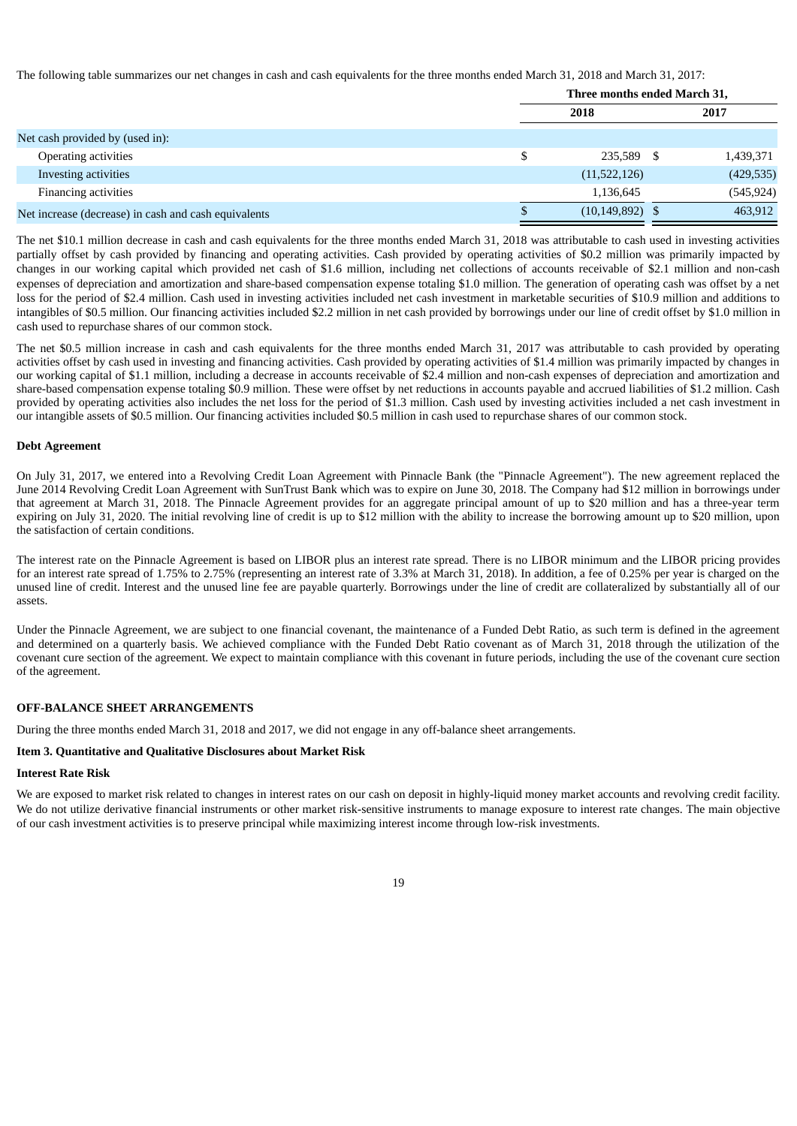The following table summarizes our net changes in cash and cash equivalents for the three months ended March 31, 2018 and March 31, 2017:

|                                                      |    | Three months ended March 31, |  |            |
|------------------------------------------------------|----|------------------------------|--|------------|
|                                                      |    | 2018                         |  | 2017       |
| Net cash provided by (used in):                      |    |                              |  |            |
| Operating activities                                 | \$ | 235,589 \$                   |  | 1,439,371  |
| Investing activities                                 |    | (11,522,126)                 |  | (429, 535) |
| Financing activities                                 |    | 1,136,645                    |  | (545, 924) |
| Net increase (decrease) in cash and cash equivalents | S  | $(10, 149, 892)$ \$          |  | 463,912    |

The net \$10.1 million decrease in cash and cash equivalents for the three months ended March 31, 2018 was attributable to cash used in investing activities partially offset by cash provided by financing and operating activities. Cash provided by operating activities of \$0.2 million was primarily impacted by changes in our working capital which provided net cash of \$1.6 million, including net collections of accounts receivable of \$2.1 million and non-cash expenses of depreciation and amortization and share-based compensation expense totaling \$1.0 million. The generation of operating cash was offset by a net loss for the period of \$2.4 million. Cash used in investing activities included net cash investment in marketable securities of \$10.9 million and additions to intangibles of \$0.5 million. Our financing activities included \$2.2 million in net cash provided by borrowings under our line of credit offset by \$1.0 million in cash used to repurchase shares of our common stock.

The net \$0.5 million increase in cash and cash equivalents for the three months ended March 31, 2017 was attributable to cash provided by operating activities offset by cash used in investing and financing activities. Cash provided by operating activities of \$1.4 million was primarily impacted by changes in our working capital of \$1.1 million, including a decrease in accounts receivable of \$2.4 million and non-cash expenses of depreciation and amortization and share-based compensation expense totaling \$0.9 million. These were offset by net reductions in accounts payable and accrued liabilities of \$1.2 million. Cash provided by operating activities also includes the net loss for the period of \$1.3 million. Cash used by investing activities included a net cash investment in our intangible assets of \$0.5 million. Our financing activities included \$0.5 million in cash used to repurchase shares of our common stock.

# **Debt Agreement**

On July 31, 2017, we entered into a Revolving Credit Loan Agreement with Pinnacle Bank (the "Pinnacle Agreement"). The new agreement replaced the June 2014 Revolving Credit Loan Agreement with SunTrust Bank which was to expire on June 30, 2018. The Company had \$12 million in borrowings under that agreement at March 31, 2018. The Pinnacle Agreement provides for an aggregate principal amount of up to \$20 million and has a three-year term expiring on July 31, 2020. The initial revolving line of credit is up to \$12 million with the ability to increase the borrowing amount up to \$20 million, upon the satisfaction of certain conditions.

The interest rate on the Pinnacle Agreement is based on LIBOR plus an interest rate spread. There is no LIBOR minimum and the LIBOR pricing provides for an interest rate spread of 1.75% to 2.75% (representing an interest rate of 3.3% at March 31, 2018). In addition, a fee of 0.25% per year is charged on the unused line of credit. Interest and the unused line fee are payable quarterly. Borrowings under the line of credit are collateralized by substantially all of our assets.

Under the Pinnacle Agreement, we are subject to one financial covenant, the maintenance of a Funded Debt Ratio, as such term is defined in the agreement and determined on a quarterly basis. We achieved compliance with the Funded Debt Ratio covenant as of March 31, 2018 through the utilization of the covenant cure section of the agreement. We expect to maintain compliance with this covenant in future periods, including the use of the covenant cure section of the agreement.

# **OFF-BALANCE SHEET ARRANGEMENTS**

During the three months ended March 31, 2018 and 2017, we did not engage in any off-balance sheet arrangements.

# <span id="page-20-0"></span>**Item 3. Quantitative and Qualitative Disclosures about Market Risk**

#### **Interest Rate Risk**

We are exposed to market risk related to changes in interest rates on our cash on deposit in highly-liquid money market accounts and revolving credit facility. We do not utilize derivative financial instruments or other market risk-sensitive instruments to manage exposure to interest rate changes. The main objective of our cash investment activities is to preserve principal while maximizing interest income through low-risk investments.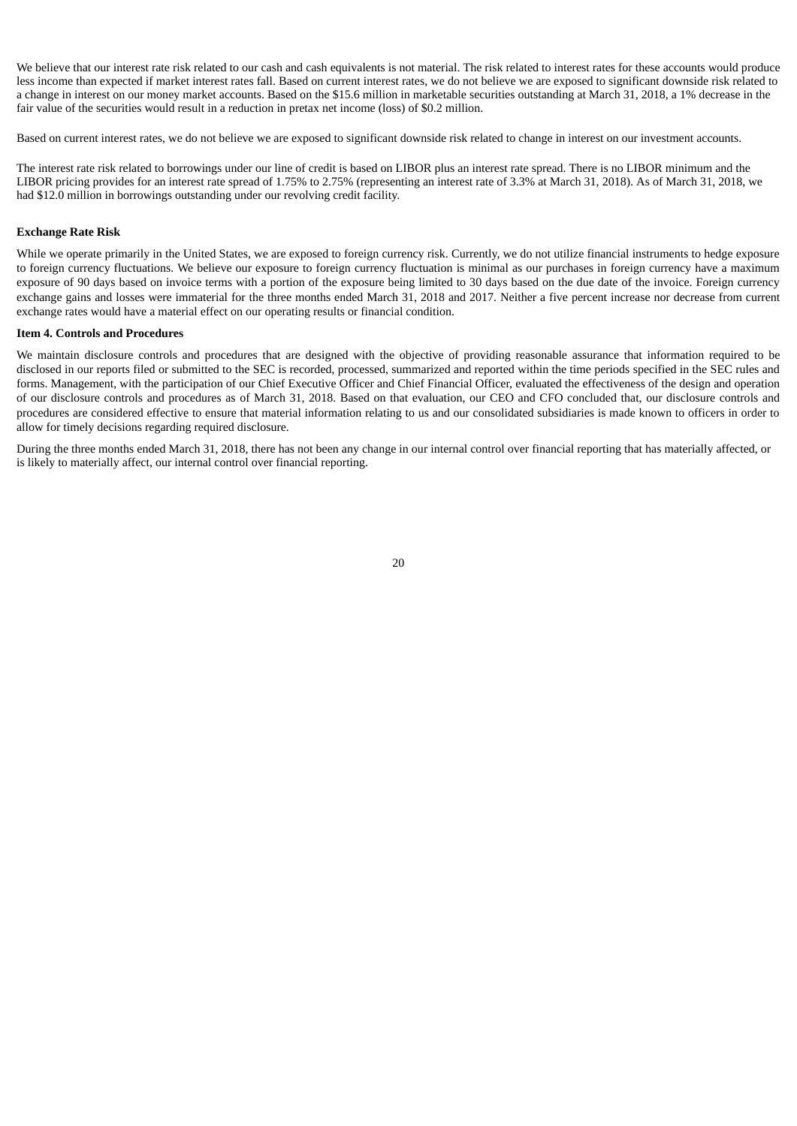We believe that our interest rate risk related to our cash and cash equivalents is not material. The risk related to interest rates for these accounts would produce less income than expected if market interest rates fall. Based on current interest rates, we do not believe we are exposed to significant downside risk related to a change in interest on our money market accounts. Based on the \$15.6 million in marketable securities outstanding at March 31, 2018, a 1% decrease in the fair value of the securities would result in a reduction in pretax net income (loss) of \$0.2 million.

Based on current interest rates, we do not believe we are exposed to significant downside risk related to change in interest on our investment accounts.

The interest rate risk related to borrowings under our line of credit is based on LIBOR plus an interest rate spread. There is no LIBOR minimum and the LIBOR pricing provides for an interest rate spread of 1.75% to 2.75% (representing an interest rate of 3.3% at March 31, 2018). As of March 31, 2018, we had \$12.0 million in borrowings outstanding under our revolving credit facility.

# **Exchange Rate Risk**

While we operate primarily in the United States, we are exposed to foreign currency risk. Currently, we do not utilize financial instruments to hedge exposure to foreign currency fluctuations. We believe our exposure to foreign currency fluctuation is minimal as our purchases in foreign currency have a maximum exposure of 90 days based on invoice terms with a portion of the exposure being limited to 30 days based on the due date of the invoice. Foreign currency exchange gains and losses were immaterial for the three months ended March 31, 2018 and 2017. Neither a five percent increase nor decrease from current exchange rates would have a material effect on our operating results or financial condition.

# <span id="page-21-0"></span>**Item 4. Controls and Procedures**

We maintain disclosure controls and procedures that are designed with the objective of providing reasonable assurance that information required to be disclosed in our reports filed or submitted to the SEC is recorded, processed, summarized and reported within the time periods specified in the SEC rules and forms. Management, with the participation of our Chief Executive Officer and Chief Financial Officer, evaluated the effectiveness of the design and operation of our disclosure controls and procedures as of March 31, 2018. Based on that evaluation, our CEO and CFO concluded that, our disclosure controls and procedures are considered effective to ensure that material information relating to us and our consolidated subsidiaries is made known to officers in order to allow for timely decisions regarding required disclosure.

<span id="page-21-1"></span>During the three months ended March 31, 2018, there has not been any change in our internal control over financial reporting that has materially affected, or is likely to materially affect, our internal control over financial reporting.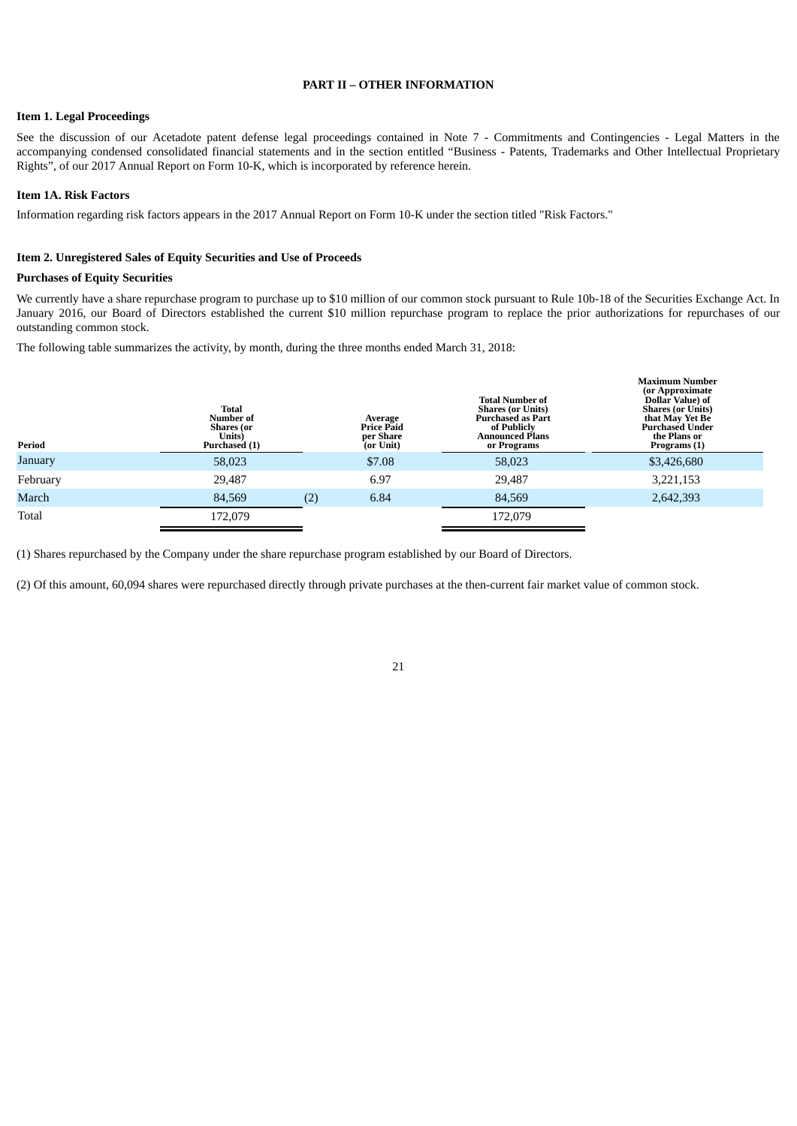# **PART II – OTHER INFORMATION**

# <span id="page-22-0"></span>**Item 1. Legal Proceedings**

See the discussion of our Acetadote patent defense legal proceedings contained in Note 7 - Commitments and Contingencies - Legal Matters in the accompanying condensed consolidated financial statements and in the section entitled "Business - Patents, Trademarks and Other Intellectual Proprietary Rights", of our 2017 Annual Report on Form 10-K, which is incorporated by reference herein.

# <span id="page-22-1"></span>**Item 1A. Risk Factors**

Information regarding risk factors appears in the 2017 Annual Report on Form 10-K under the section titled "Risk Factors."

# <span id="page-22-2"></span>**Item 2. Unregistered Sales of Equity Securities and Use of Proceeds**

# **Purchases of Equity Securities**

We currently have a share repurchase program to purchase up to \$10 million of our common stock pursuant to Rule 10b-18 of the Securities Exchange Act. In January 2016, our Board of Directors established the current \$10 million repurchase program to replace the prior authorizations for repurchases of our outstanding common stock.

The following table summarizes the activity, by month, during the three months ended March 31, 2018:

| Period   | Total<br>Number of<br><b>Shares</b> (or<br>Units)<br>Purchased (1) |     | Average<br><b>Price Paid</b><br>per Share<br>(or Unit) | <b>Total Number of</b><br><b>Shares (or Units)</b><br><b>Purchased as Part</b><br>of Publicly<br><b>Announced Plans</b><br>or Programs | <b>Maximum Number</b><br>(or Approximate<br>Dollar Value) of<br><b>Shares (or Units)</b><br>that May Yet Be<br><b>Purchased Under</b><br>the Plans or<br>Programs (1) |
|----------|--------------------------------------------------------------------|-----|--------------------------------------------------------|----------------------------------------------------------------------------------------------------------------------------------------|-----------------------------------------------------------------------------------------------------------------------------------------------------------------------|
| January  | 58,023                                                             |     | \$7.08                                                 | 58,023                                                                                                                                 | \$3,426,680                                                                                                                                                           |
| February | 29,487                                                             |     | 6.97                                                   | 29,487                                                                                                                                 | 3,221,153                                                                                                                                                             |
| March    | 84,569                                                             | (2) | 6.84                                                   | 84,569                                                                                                                                 | 2,642,393                                                                                                                                                             |
| Total    | 172,079                                                            |     |                                                        | 172,079                                                                                                                                |                                                                                                                                                                       |

(1) Shares repurchased by the Company under the share repurchase program established by our Board of Directors.

<span id="page-22-3"></span>(2) Of this amount, 60,094 shares were repurchased directly through private purchases at the then-current fair market value of common stock.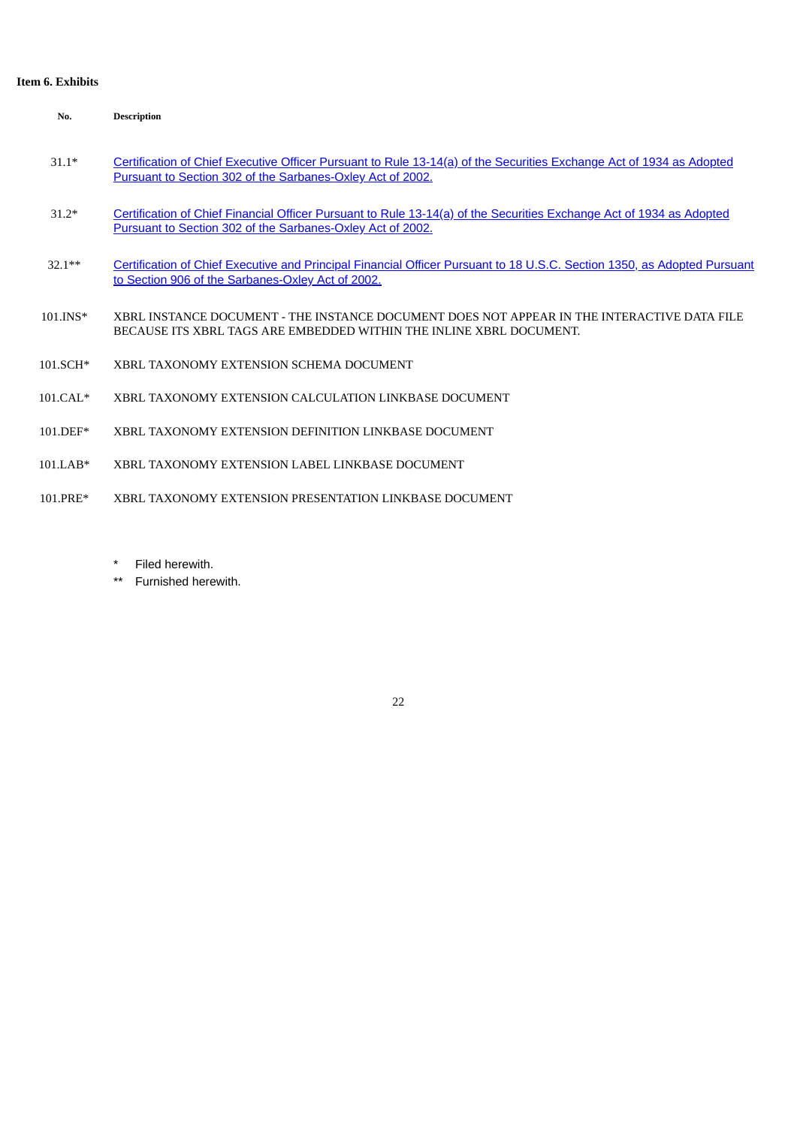# **Item 6. Exhibits**

| No.        | <b>Description</b>                                                                                                                                                                 |
|------------|------------------------------------------------------------------------------------------------------------------------------------------------------------------------------------|
| $31.1*$    | Certification of Chief Executive Officer Pursuant to Rule 13-14(a) of the Securities Exchange Act of 1934 as Adopted<br>Pursuant to Section 302 of the Sarbanes-Oxley Act of 2002. |
| $31.2*$    | Certification of Chief Financial Officer Pursuant to Rule 13-14(a) of the Securities Exchange Act of 1934 as Adopted<br>Pursuant to Section 302 of the Sarbanes-Oxley Act of 2002. |
| $32.1***$  | Certification of Chief Executive and Principal Financial Officer Pursuant to 18 U.S.C. Section 1350, as Adopted Pursuant<br>to Section 906 of the Sarbanes-Oxley Act of 2002.      |
| 101.INS*   | XBRL INSTANCE DOCUMENT - THE INSTANCE DOCUMENT DOES NOT APPEAR IN THE INTERACTIVE DATA FILE<br>BECAUSE ITS XBRL TAGS ARE EMBEDDED WITHIN THE INLINE XBRL DOCUMENT.                 |
| 101.SCH*   | XBRL TAXONOMY EXTENSION SCHEMA DOCUMENT                                                                                                                                            |
| $101.CAL*$ | XBRL TAXONOMY EXTENSION CALCULATION LINKBASE DOCUMENT                                                                                                                              |
| 101.DEF*   | XBRL TAXONOMY EXTENSION DEFINITION LINKBASE DOCUMENT                                                                                                                               |
| $101.LAB*$ | XBRL TAXONOMY EXTENSION LABEL LINKBASE DOCUMENT                                                                                                                                    |
| 101.PRE*   | XBRL TAXONOMY EXTENSION PRESENTATION LINKBASE DOCUMENT                                                                                                                             |

- \* Filed herewith.
- <span id="page-23-0"></span>\*\* Furnished herewith.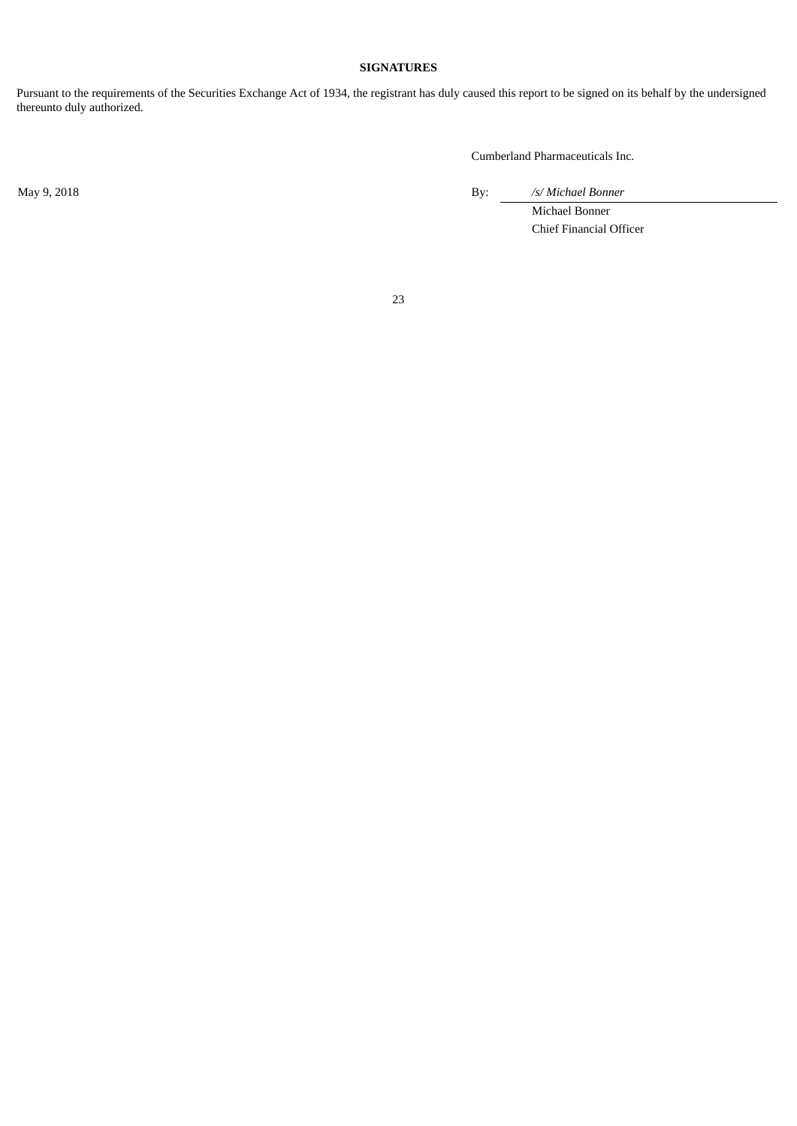# **SIGNATURES**

Pursuant to the requirements of the Securities Exchange Act of 1934, the registrant has duly caused this report to be signed on its behalf by the undersigned thereunto duly authorized.

Cumberland Pharmaceuticals Inc.

May 9, 2018 By: */s/ Michael Bonner*

Michael Bonner Chief Financial Officer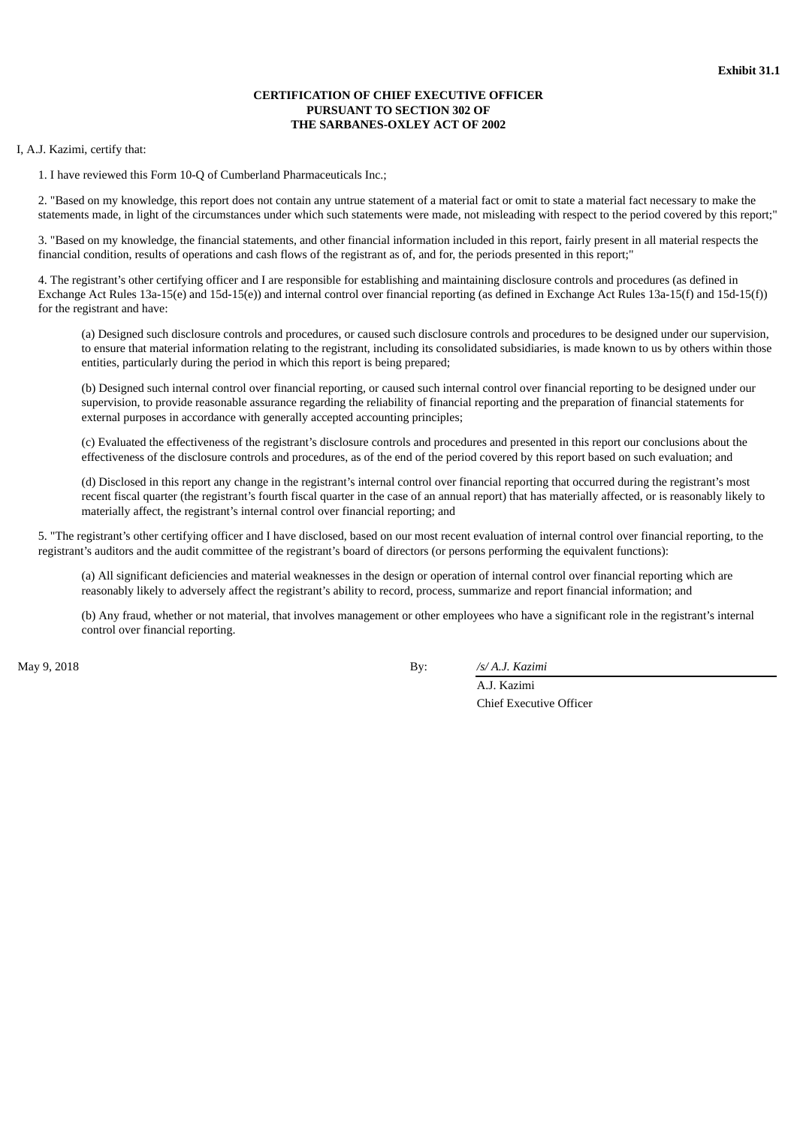# **CERTIFICATION OF CHIEF EXECUTIVE OFFICER PURSUANT TO SECTION 302 OF THE SARBANES-OXLEY ACT OF 2002**

<span id="page-25-0"></span>I, A.J. Kazimi, certify that:

1. I have reviewed this Form 10-Q of Cumberland Pharmaceuticals Inc.;

2. "Based on my knowledge, this report does not contain any untrue statement of a material fact or omit to state a material fact necessary to make the statements made, in light of the circumstances under which such statements were made, not misleading with respect to the period covered by this report;"

3. "Based on my knowledge, the financial statements, and other financial information included in this report, fairly present in all material respects the financial condition, results of operations and cash flows of the registrant as of, and for, the periods presented in this report;"

4. The registrant's other certifying officer and I are responsible for establishing and maintaining disclosure controls and procedures (as defined in Exchange Act Rules 13a-15(e) and 15d-15(e)) and internal control over financial reporting (as defined in Exchange Act Rules 13a-15(f) and 15d-15(f)) for the registrant and have:

(a) Designed such disclosure controls and procedures, or caused such disclosure controls and procedures to be designed under our supervision, to ensure that material information relating to the registrant, including its consolidated subsidiaries, is made known to us by others within those entities, particularly during the period in which this report is being prepared;

(b) Designed such internal control over financial reporting, or caused such internal control over financial reporting to be designed under our supervision, to provide reasonable assurance regarding the reliability of financial reporting and the preparation of financial statements for external purposes in accordance with generally accepted accounting principles;

(c) Evaluated the effectiveness of the registrant's disclosure controls and procedures and presented in this report our conclusions about the effectiveness of the disclosure controls and procedures, as of the end of the period covered by this report based on such evaluation; and

(d) Disclosed in this report any change in the registrant's internal control over financial reporting that occurred during the registrant's most recent fiscal quarter (the registrant's fourth fiscal quarter in the case of an annual report) that has materially affected, or is reasonably likely to materially affect, the registrant's internal control over financial reporting; and

5. "The registrant's other certifying officer and I have disclosed, based on our most recent evaluation of internal control over financial reporting, to the registrant's auditors and the audit committee of the registrant's board of directors (or persons performing the equivalent functions):

(a) All significant deficiencies and material weaknesses in the design or operation of internal control over financial reporting which are reasonably likely to adversely affect the registrant's ability to record, process, summarize and report financial information; and

(b) Any fraud, whether or not material, that involves management or other employees who have a significant role in the registrant's internal control over financial reporting.

May 9, 2018 By: */s/ A.J. Kazimi*

A.J. Kazimi Chief Executive Officer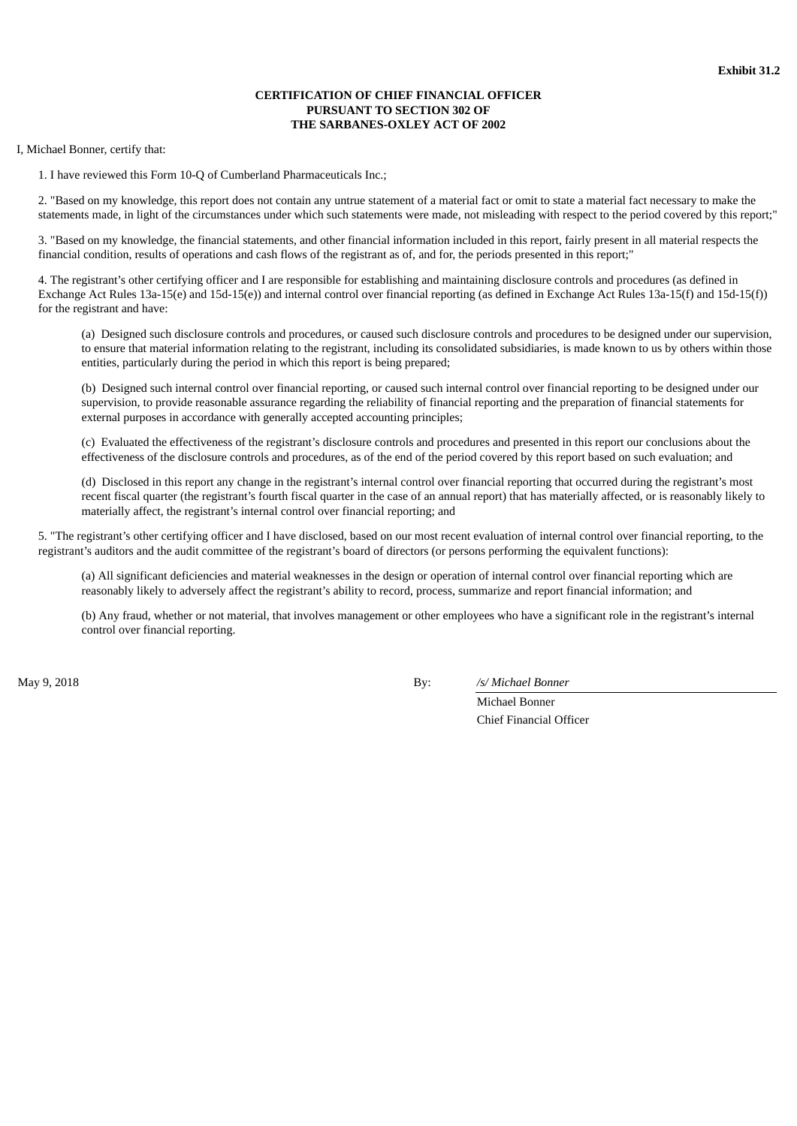# **CERTIFICATION OF CHIEF FINANCIAL OFFICER PURSUANT TO SECTION 302 OF THE SARBANES-OXLEY ACT OF 2002**

<span id="page-26-0"></span>I, Michael Bonner, certify that:

1. I have reviewed this Form 10-Q of Cumberland Pharmaceuticals Inc.;

2. "Based on my knowledge, this report does not contain any untrue statement of a material fact or omit to state a material fact necessary to make the statements made, in light of the circumstances under which such statements were made, not misleading with respect to the period covered by this report;"

3. "Based on my knowledge, the financial statements, and other financial information included in this report, fairly present in all material respects the financial condition, results of operations and cash flows of the registrant as of, and for, the periods presented in this report;"

4. The registrant's other certifying officer and I are responsible for establishing and maintaining disclosure controls and procedures (as defined in Exchange Act Rules 13a-15(e) and 15d-15(e)) and internal control over financial reporting (as defined in Exchange Act Rules 13a-15(f) and 15d-15(f)) for the registrant and have:

(a) Designed such disclosure controls and procedures, or caused such disclosure controls and procedures to be designed under our supervision, to ensure that material information relating to the registrant, including its consolidated subsidiaries, is made known to us by others within those entities, particularly during the period in which this report is being prepared;

(b) Designed such internal control over financial reporting, or caused such internal control over financial reporting to be designed under our supervision, to provide reasonable assurance regarding the reliability of financial reporting and the preparation of financial statements for external purposes in accordance with generally accepted accounting principles;

(c) Evaluated the effectiveness of the registrant's disclosure controls and procedures and presented in this report our conclusions about the effectiveness of the disclosure controls and procedures, as of the end of the period covered by this report based on such evaluation; and

(d) Disclosed in this report any change in the registrant's internal control over financial reporting that occurred during the registrant's most recent fiscal quarter (the registrant's fourth fiscal quarter in the case of an annual report) that has materially affected, or is reasonably likely to materially affect, the registrant's internal control over financial reporting; and

5. "The registrant's other certifying officer and I have disclosed, based on our most recent evaluation of internal control over financial reporting, to the registrant's auditors and the audit committee of the registrant's board of directors (or persons performing the equivalent functions):

(a) All significant deficiencies and material weaknesses in the design or operation of internal control over financial reporting which are reasonably likely to adversely affect the registrant's ability to record, process, summarize and report financial information; and

(b) Any fraud, whether or not material, that involves management or other employees who have a significant role in the registrant's internal control over financial reporting.

May 9, 2018 By: */s/ Michael Bonner*

Michael Bonner Chief Financial Officer